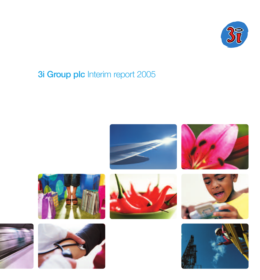

## **3i Group plc** Interim report 2005





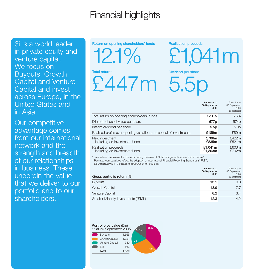### Financial highlights

3i is a world leader in private equity and venture capital. We focus on Buyouts, Growth Capital and Venture Capital and invest across Europe, in the United States and in Asia.

Our competitive advantage comes from our international network and the strength and breadth of our relationships in business. These underpin the value that we deliver to our portfolio and to our shareholders.

**Return on opening shareholders' funds** 12.1%

**Total return\*** £447m 5.5p

**Realisation proceeds** £1,041m

**Dividend per share**

#### **6 months to** 6 months to<br>**0 September** 30 September **30 September** 30 September **2005** 2004 (as restated)\*\* Total return on opening shareholders' funds **12.1%** 6.8% Diluted net asset value per share **677p** 574p Interim dividend per share **5.5p** 5.3p Realised profits over opening valuation on disposal of investments **£189m** £89m New investment **EXALL EXAMPLE 2008** New investment **£222m**<br>  $\sim$  Including co-investment funds  $-$  Including co-investment funds Realisation proceeds **E1,041m E603m**<br>  $\blacksquare$  **E1,041m E603m E1,041m E1,363m E1,363m E1,262m** – Including co-investment funds **£1,363m** £792m

\* Total return is equivalent to the accounting measure of "Total recognised income and expense".

\*\*Restated comparatives reflect the adoption of International Financial Reporting Standards ("IFRS"),

| as explained within the Basis of preparation on page 18. |  |  |  |
|----------------------------------------------------------|--|--|--|
|----------------------------------------------------------|--|--|--|

| Gross portfolio return (%)           | 6 months to<br>30 September<br>2005 | 6 months to<br>30 September<br>2004<br>(as restated)** |
|--------------------------------------|-------------------------------------|--------------------------------------------------------|
| <b>Buyouts</b>                       | 13.1                                | 9.8                                                    |
| Growth Capital                       | 13.0                                | 77                                                     |
| Venture Capital                      | 8.2                                 | 3.4                                                    |
| Smaller Minority Investments ("SMI") | 12.3                                | 4.2                                                    |

#### **Portfolio by value** (£m) as at 30 September 2005

| Total                   | 4,389 |     | 30% |
|-------------------------|-------|-----|-----|
| <b>SMI</b>              | 663   |     |     |
| Venture Capital         | 740   |     |     |
| Growth Capital          | 1,321 | 17% |     |
| <b>Buyouts</b>          | 1,665 |     |     |
| as at 30 September 2005 |       | 15% | 38% |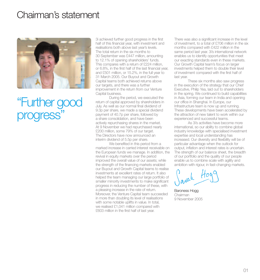### Chairman's statement



# "Further good progress"

3i achieved further good progress in the first half of this financial year, with investment and realisations both above last year's levels. The total return in the six months to 30 September was £447 million, amounting to 12.1% of opening shareholders' funds. This compares with a return of £224 million, or 6.8%, in the first half of the last financial year, and £501 million, or 15.2%, in the full year to 31 March 2005. Our Buyout and Growth Capital teams both achieved returns above our targets, and there was a further improvement in the return from our Venture Capital business.

During the period, we executed the return of capital approved by shareholders in July. As well as our normal final dividend of 9.3p per share, we made a special dividend payment of 40.7p per share, followed by a share consolidation, and have been actively repurchasing shares in the market. At 9 November we had repurchased nearly £200 million, some 79% of our target. The Directors have now announced an interim dividend of 5.5p per share.

We benefited in this period from a marked increase in carried interest receivable on the European funds we manage. In addition, the revival in equity markets over the period improved the overall value of our assets; while the strength of the financing markets enabled our Buyout and Growth Capital teams to realise investments at excellent rates of return. It also helped the team managing our large portfolio of smaller minority investments to make significant progress in reducing the number of these, with a pleasing increase in the rate of return. Moreover, the Venture Capital team succeeded in more than doubling its level of realisations with some notable uplifts in value. In total, we realised £1,041 million compared with £603 million in the first half of last year.

There was also a significant increase in the level of investment, to a total of £706 million in the six months compared with £422 million in the same period last year. 3i's international network enables us to identify opportunities that meet our exacting standards even in these markets. Our Growth Capital team's focus on larger investments helped them to double their level of investment compared with the first half of last year.

These six months also saw progress in the execution of the strategy that our Chief Executive, Philip Yea, laid out to shareholders in the spring. We continued to build capabilities in Asia, forming our team in India and opening our office in Shanghai. In Europe, our Infrastructure team is now up and running. These developments have been accelerated by the attraction of new talent to work within our experienced and successful teams.

As 3i's activities have become more international, so our ability to combine global industry knowledge with specialised investment expertise and local understanding has increased. Our diversity and flexibility will be of particular advantage when the outlook for output, inflation and interest rates is uncertain. The strength of our balance sheet, the breadth of our portfolio and the quality of our people enable us to combine scale with agility and ambition with rigour, in fast-changing markets.

vale

Baroness Hogg Chairman 9 November 2005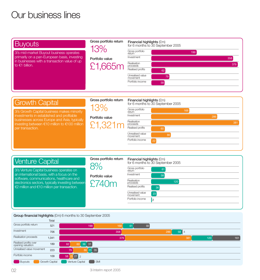### Our business lines

| <b>Buyouts</b>                                                                               | Gross portfolio return | Financial highlights (£m)<br>for 6 months to 30 September 2005 |     |
|----------------------------------------------------------------------------------------------|------------------------|----------------------------------------------------------------|-----|
| 3i's mid-market Buyout business operates                                                     |                        | Gross portfolio<br>return                                      | 199 |
| primarily on a pan-European basis, investing<br>in businesses with a transaction value of up | Portfolio value        | Investment                                                     | 358 |
| to $\notin$ 1 billion.                                                                       | £1,665m                | Realisation<br>proceeds                                        | 379 |
|                                                                                              |                        | Realised profits<br>62                                         |     |
|                                                                                              |                        | Unrealised value<br>79<br>movement                             |     |
|                                                                                              |                        | Portfolio income<br>58                                         |     |
|                                                                                              |                        |                                                                |     |

| <b>Growth Capital</b>                                                                     | Gross portfolio return<br>13% | <b>Financial highlights <math>(\triangle m)</math></b> | for 6 months to 30 September 2005 |     |
|-------------------------------------------------------------------------------------------|-------------------------------|--------------------------------------------------------|-----------------------------------|-----|
| 3i's Growth Capital business makes minority                                               |                               | Gross portfolio<br>return                              | 168                               |     |
| investments in established and profitable<br>businesses across Europe and Asia, typically | Portfolio value               | Investment                                             |                                   | 286 |
| investing between €10 million to €100 million                                             |                               | Realisation<br>proceeds                                |                                   | 381 |
| per transaction.                                                                          |                               | Realised profits                                       | 60                                |     |
|                                                                                           |                               | Unrealised value<br>movement                           | 86                                |     |
|                                                                                           |                               | Portfolio income                                       | 22                                |     |

### Venture Capital

3i's Venture Capital business operates on an international basis, with a focus on the software, communications, healthcare and electronics sectors, typically investing between **1**2 million and **1**10 million per transaction.

**Gross portfolio return** 8%

**Portfolio value**

| £740m |
|-------|

| <b>Financial highlights <math>(\text{Em})</math></b> | for 6 months to 30 September 2005 |
|------------------------------------------------------|-----------------------------------|
| Gross portfolio<br>return                            | 61                                |
| Investment                                           | 58                                |
| Realisation<br>proceeds                              | 120                               |
| Realised profits                                     | 36                                |
| Unrealised value<br>movement                         | 23                                |
| Portfolio income                                     | 2                                 |

#### **Group financial highlights** (£m) 6 months to 30 September 2005

|                                            | Total                 |                                |           |     |        |     |     |
|--------------------------------------------|-----------------------|--------------------------------|-----------|-----|--------|-----|-----|
| Gross portfolio return                     | 521                   | 199                            | 168<br>61 | 93  |        |     |     |
| Investment                                 | 706                   |                                | 358       | 286 | $58$ 4 |     |     |
| Realisation proceeds                       | 1,041                 |                                | 379       |     | 381    | 120 | 161 |
| Realised profits over<br>opening valuation | 189                   | 60 36 31<br>62                 |           |     |        |     |     |
| Unrealised value movement                  | 223                   | $86$ 23 35<br>79               |           |     |        |     |     |
| Portfolio income                           | 109                   | $22$ 27 $2$<br>58 <sup>1</sup> |           |     |        |     |     |
| <b>Buyouts</b>                             | <b>Growth Capital</b> | Venture Capital<br>SMI         |           |     |        |     |     |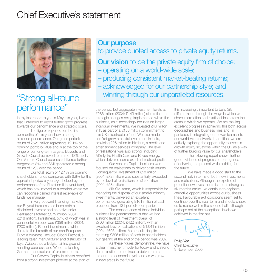### Chief Executive's statement



### "Strong all-round performance"

In my last report to you in May this year, I wrote that I intended to report further good progress towards our performance and strategic goals.

The figures reported for the first six months of this year show a strong all-round performance. Our gross portfolio return of £521 million represents 12.1% on opening portfolio value and is at the top of the range of our long-term targets. Buyouts and Growth Capital achieved returns of 13% each. Our Venture Capital business delivered further progress at 8% and SMI generated a strong return of 12% over the period.

Our total return of 12.1% on opening shareholders' funds compares with 6.8% for the equivalent period a year ago, helped by the performance of the Eurofund III buyout fund, which has now moved to a position where we can recognise carried interest receivable on funds we manage.

In very buoyant financing markets, our Buyout business has been both a disciplined investor and an active seller. Realisations totalled £379 million (2004: £218 million). Investment, 57% of which was in continental Europe, was £358 million (2004: £200 million). Recent investments, which illustrate the breadth of our pan-European Buyout business, include: Giochi Preziosi, a leading Italian manufacturer and distributor of toys; Aviapartner, a Belgian airline ground handling business; and Wendt, a leading German manufacturer of precision tools.

Our Growth Capital business benefited from a strong investment pipeline at the start of

### **Our purpose**

to provide quoted access to private equity returns.

**Our vision** to be the private equity firm of choice:

- operating on a world-wide scale;
- producing consistent market-beating returns;
- acknowledged for our partnership style; and
- winning through our unparalleled resources.

the period, but aggregate investment levels at £286 million (2004: £143 million) also reflect the strategic changes being implemented within the business, as it increasingly focuses on larger individual investments. We invested £46 million in  $l^2$ , as part of a £158 million commitment to this UK infrastructure fund. We also made our first growth capital investment in India, providing £26 million to Nimbus, a media and entertainment services company. The level of realisations was also strong, including Mölnlycke Health Care and Revus Energy, which delivered some excellent realised profits.

Our Venture Capital business was focused on realisations to deliver cash returns. Consequently, investment of £58 million (2004: £72 million) was substantially exceeded by the level of realisations of £120 million (2004: £58 million).

3i's SMI team, which is responsible for managing the disposal of our smaller minority investments, delivered an excellent performance, generating £161 million of cash proceeds from 131 portfolio companies.

The consequence of these individual business line performances is that we had a strong level of investment overall of £706 million (2004: £422 million), with an excellent level of realisations of £1,041 million (2004: £603 million). As a result, despite returning £396 million of cash to shareholders, our gearing at the end of the period was 20%.

As these figures demonstrate, we have a clear investment model for today and a strong determination to continue to deliver returns through the economic cycle and as we grow in new areas in the future.

It is increasingly important to build 3i's differentiation through the ways in which we share information and relationships across the areas in which we operate. We are making excellent progress in achieving this both across geographies and business lines and, in particular, in integrating our newer teams into our world-wide network. In addition, we are actively exploring the opportunity to invest in growth equity situations within the US as a way of further building value for our shareholders.

The following report shows further good evidence of progress on our agenda of delivering the present while building for the future.

We have made a good start to the second half, in terms of both new investments and realisations. Although the pipeline of potential new investments is not as strong as six months earlier, we continue to originate attractive opportunities across our business lines. Favourable exit conditions seem set to continue over the near term and should enable us to realise well in the second half, although perhaps not at the exceptional levels we achieved in the first half.

Philip Yea Chief Executive 9 November 2005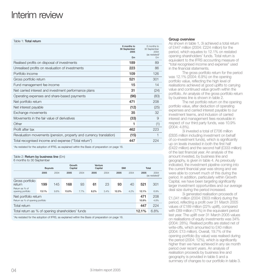### Interim review

| 6 months to<br>30 September<br>2005 | 6 months to<br>30 September<br>2004<br>(as restated)* |
|-------------------------------------|-------------------------------------------------------|
|                                     | £m                                                    |
|                                     | 89                                                    |
| 223                                 | 86                                                    |
| 109                                 | 126                                                   |
| 521                                 | 301                                                   |
| 15                                  | 14                                                    |
| 31                                  | (24)                                                  |
| (96)                                | (83)                                                  |
| 471                                 | 208                                                   |
| (12)                                | (25)                                                  |
| 35                                  | 32                                                    |
| (33)                                | 9                                                     |
| 1                                   | (1)                                                   |
| 462                                 | 223                                                   |
| (15)                                |                                                       |
| 447                                 | 224                                                   |
|                                     | £m<br>189                                             |

\*As restated for the adoption of IFRS, as explained within the Basis of preparation on page 18.

#### Table 2: **Return by business line** (£m)

6 months to 30 September

|                                                          |       | <b>Buyouts</b> |       | Growth<br>Capital |      | Venture<br>Capital |       | <b>SMI</b>   |             | Total                  |
|----------------------------------------------------------|-------|----------------|-------|-------------------|------|--------------------|-------|--------------|-------------|------------------------|
|                                                          | 2005  | 2004           | 2005  | 2004              | 2005 | 2004               | 2005  | 2004         | 2005        | 2004<br>(as restated)* |
| Gross portfolio<br>return                                | 199   | 145            | 168   | 93                | 61   | 23                 | 93    | 40           | 521         | 301                    |
| Return as % of<br>opening portfolio                      | 13.1% | 9.8%           | 13.0% | 7.7%              | 8.2% | 3.4%               | 12.3% | 4.2%         | 12.1%       | 6.9%                   |
| Net portfolio return<br>Return as % of opening portfolio |       |                |       |                   |      |                    |       | 471<br>10.9% | 208<br>4.8% |                        |
| Total return                                             |       |                |       |                   |      |                    | 447   | 224          |             |                        |
| Total return as % of opening shareholders' funds         |       |                |       |                   |      |                    |       |              | 12.1%       | 6.8%                   |
|                                                          |       |                |       |                   |      |                    |       |              |             |                        |

\*As restated for the adoption of IFRS, as explained within the Basis of preparation on page 18.

#### **Group overview**

As shown in table 1, 3i achieved a total return of £447 million (2004: £224 million) for the period, which equates to 12.1% on restated opening shareholders' funds. Total return is equivalent to the IFRS accounting measure of "total recognised income and expense" used in the financial statements.

The gross portfolio return for the period was 12.1% (2004: 6.9%) on the opening portfolio value, reflecting the high level of realisations achieved at good uplifts to carrying value and continued value growth within the portfolio. An analysis of the gross portfolio return by business line is shown in table 2.

The net portfolio return on the opening portfolio value, after deduction of operating expenses and carried interest payable to our investment teams, and inclusion of carried interest and management fees receivable in respect of our third party funds, was 10.9% (2004: 4.8%).

3i invested a total of £706 million (£835 million including investment on behalf of co-investment funds), which is significantly up on levels invested in both the first half (£422 million) and the second half (£333 million) of the last financial year. An analysis of the amount invested, by business line and geography, is given in table 4. As previously indicated, the investment pipeline coming into the current financial year was strong and we were able to convert much of this during the period. In addition, particularly within Growth Capital, we have been targeting significantly larger investment opportunities and our average deal size during the period increased.

3i generated realisation proceeds of £1,041 million (2004: £603 million) during the period, reflecting a profit over 31 March 2005 values of £189 million (22% uplift), compared with £89 million (17%) in the equivalent period last year. The uplift over 31 March 2005 values on realisations of equity investments was 34% (2004: 28%). Realised profits are stated net of write-offs, which amounted to £40 million (2004: £13 million). Overall, 19.7% of the opening portfolio (by value) was realised during the period (2004: 12%), which is significantly higher than we have achieved in any six month period over recent years. An analysis of realisation proceeds by business line and geography is provided in table 5 and a summary of changes to our portfolio in table 3.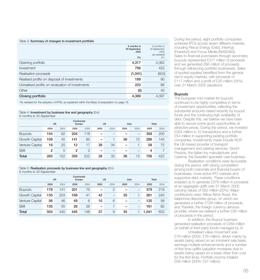#### Table 3: **Summary of changes to investment portfolio**

|                                                  | 6 months to<br>30 September<br>2005<br>£m | 6 months to<br>30 September<br>2004<br>(as restated)*<br>£m |
|--------------------------------------------------|-------------------------------------------|-------------------------------------------------------------|
| Opening portfolio                                | 4,317                                     | 4,362                                                       |
| Investment                                       | 706                                       | 422                                                         |
| Realisation proceeds                             | (1,041)                                   | (603)                                                       |
| Realised profits on disposal of investments      | 189                                       | 90                                                          |
| Unrealised profits on revaluation of investments | 223                                       | 86                                                          |
| Other                                            | (5)                                       | 40                                                          |
| Closing portfolio                                | 4,389                                     | 4,397                                                       |

\*As restated for the adoption of IFRS, as explained within the Basis of preparation on page 18.

#### Table 4: **Investment by business line and geography** (£m) 6 months to 30 September

|                 | <b>UK</b>      |      |      | Continental<br>Europe |      | <b>US</b><br>Asia |      | Total |      |      |
|-----------------|----------------|------|------|-----------------------|------|-------------------|------|-------|------|------|
|                 | 2005           | 2004 | 2005 | 2004                  | 2005 | 2004              | 2005 | 2004  | 2005 | 2004 |
| <b>Buyouts</b>  | 154            | 82   | 204  | 118                   |      |                   | -    |       | 358  | 200  |
| Growth Capital  | 109            | 45   | 141  | 85                    | -    |                   | 36   | 12    | 286  | 143  |
| Venture Capital | 18             | 20   | 12   | 17                    | 28   | 34                | -    |       | 58   | 72   |
| <b>SMI</b>      | $\overline{2}$ | 5    | 2    | $\overline{2}$        | -    |                   | -    |       | 4    |      |
| <b>Total</b>    | 283            | 152  | 359  | 222                   | 28   | 35                | 36   | 13    | 706  | 422  |

#### Table 5: **Realisation proceeds by business line and geography** (£m) 6 months to 30 September

|                       |      | <b>UK</b> |      | Continental<br>Europe |      | <b>US</b>                |      | Asia                     |       | Total |
|-----------------------|------|-----------|------|-----------------------|------|--------------------------|------|--------------------------|-------|-------|
|                       | 2005 | 2004      | 2005 | 2004                  | 2005 | 2004                     | 2005 | 2004                     | 2005  | 2004  |
| <b>Buyouts</b>        | 178  | 141       | 201  | 75                    | -    | $\overline{2}$           | -    | $\overline{\phantom{m}}$ | 379   | 218   |
| <b>Growth Capital</b> | 135  | 203       | 169  | 41                    | 42   | $\overline{\phantom{0}}$ | 35   |                          | 381   | 245   |
| Venture Capital       | 56   | 46        | 49   | 6                     | 15   | 6                        | -    |                          | 120   | 58    |
| <b>SMI</b>            | 135  | 55        | 26   | 26                    | -    |                          | -    |                          | 161   | 82    |
| Total                 | 504  | 445       | 445  | 148                   | 57   | 9                        | 35   |                          | 1.041 | 603   |

During the period, eight portfolio companies achieved IPOs across seven different markets, including Revus Energy (Oslo), Interhyp (Frankfurt) and Focus Media (NASDAQ). Sales to financial purchasers through secondary buyouts represented £317 million of proceeds and we generated £66 million of proceeds through refinancing portfolio businesses. Sales of quoted equities benefited from the general rise in equity markets, with proceeds of £117 million and a profit of £30 million (34%) over 31 March 2005 valuations.

#### **Buyouts**

The European mid-market for buyouts continued to be highly competitive in terms of investment opportunities, reflecting the substantial amounts raised recently by buyout funds and the continuing high availability of debt. Despite this, we believe we have been able to secure some good opportunities at attractive prices. During the period, we invested £304 million in 10 transactions and a further £54 million in supporting existing portfolio companies. Investments made include NCP, the UK-based provider of transport management and parking services, Giochi Preziosi, the Italian toy manufacturer, and Carema, the Swedish specialist care business.

Realisation conditions were favourable during the period, with strong competition among both corporate and financial buyers of businesses, more active IPO markets and supportive debt markets. These conditions enabled us to generate £379 million in proceeds at an aggregate uplift over 31 March 2005 carrying values of £62 million (20%). Major contributors were Yellow Brick Road, the telephone directories group, on which we generated a further £129 million of proceeds, and Travelex, the foreign currency services provider, where we realised a further £93 million of proceeds in the period.

In addition, the Buyout business generated realisation proceeds of £284 million on behalf of third party funds managed by 3i.

Unrealised value movement was £79 million (2004: £76 million), driven mainly by assets being valued on an imminent sale basis, earnings multiple enhancements and a number of first time uplifts (valuation increases due to assets being valued on a basis other than cost for the first time). Portfolio income totalled £58 million (2004: £47 million).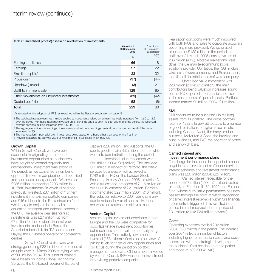#### Table 6: **Unrealised profits/(losses) on revaluation of investments**

|                                         | 6 months to<br>30 September<br>2005 | 6 months to<br>30 September<br>(as restated)*<br>2004 |
|-----------------------------------------|-------------------------------------|-------------------------------------------------------|
|                                         | £m                                  | £m                                                    |
| Earnings multiples <sup>1</sup>         | 66                                  | 18                                                    |
| Earnings <sup>2</sup>                   | 27                                  | 22                                                    |
| First-time uplifts <sup>3</sup>         | 23                                  | 32                                                    |
| Provisions <sup>4</sup>                 | (37)                                | (44)                                                  |
| Up/(down) rounds                        | (3)                                 | 21                                                    |
| Uplift to imminent sale                 | 128                                 | 85                                                    |
| Other movements on unquoted investments | (39)                                | (42)                                                  |
| Quoted portfolio                        | 58                                  | (6)                                                   |
| <b>Total</b>                            | 223                                 | 86                                                    |

\*As restated for the adoption of IFRS, as explained within the Basis of preparation on page 18.

1 The weighted average earnings multiple applied to investments valued on an earnings basis increased from 12.0 to 12.2 over the period. For those investments valued on an earnings basis at both the start and end of the period, the weighted average earnings multiple increased from 11.9 to 12.3.

2 The aggregate attributable earnings of investments valued on an earnings basis at both the start and end of the period increased by 2%.

3 The net valuation impact arising on investments being valued on a basis other than cost for the first time.

4 Provisions against the carrying value of investments in businesses which may fail.

#### **Growth Capital**

Within Growth Capital, we have been successful in originating a number of investment opportunities as businesses have sought to expand regionally and internationally. Investment was strong in the period, as we converted a number of opportunities within our pipeline and benefited from our focus on larger deals. We invested £286 million, comprising £203 million in 10 "first" investments (in which 3i had not previously invested), £37 million of "further" investment into existing portfolio companies and  $£46$  million into the  $I<sup>2</sup>$  infrastructure fund, which targets projects in the health, education, transport and defence sectors in the UK. The average deal size for first investments was £27 million, up from £7 million for the previous financial year. Investments made include Boxer, the Stockholm-based digital TV operator, and Hayley, the UK-based operator of conference centres.

Growth Capital realisations were strong, generating £381 million of proceeds at an uplift over 31 March 2005 carrying values of £60 million (19%). This is net of realised value losses on Incline Global Technology Services, the UK-based repairer of flat panel

displays (£28 million), and Allsports, the UK sports goods retailer (£5 million), both of which went into administration during the period.

Unrealised value movement was £86 million (2004: £(3) million). This included £69 million in respect of Petrofac, the oilfield services business, which achieved a £742 million IPO on the London Stock Exchange in early October 2005, providing 3i with a full exit and proceeds of £116 million on our 2002 investment of £21 million. Portfolio income totalled £22 million (2004: £46 million), the reduction relative to 2004 being primarily due to reduced levels of special dividends receivable on realisations of investments.

#### **Venture Capital**

Venture capital investment conditions in both Europe and the US were competitive for good later-stage investment opportunities, but much less so for start-up and early-stage opportunities. The relatively low amount invested (£58 million) reflects both our view of pricing levels for high-quality opportunities and our focus during the period on portfolio management and exits. Of the amount invested by Venture Capital, 84% was further investment into existing portfolio companies.

Realisation conditions were much improved, with both IPOs and sales to corporate acquirers becoming more prevalent. We generated proceeds of £120 million in the period, at an uplift over 31 March 2005 carrying values of £36 million (43%). Notable realisations were dtms, the German telecommunications solutions provider, UbiNetics, the "3G" mobile wireless software company, and Searchspace, the UK artificial intelligence software company.

Unrealised value movement was £23 million (2004: £12 million), the main contributors being valuation increases arising on the IPO of portfolio companies and rises in the share prices of quoted assets. Portfolio income totalled £2 million (2004: £1 million).

#### **SMI**

SMI continued to be successful in realising assets from its portfolio. The gross portfolio return of 12% is largely attributable to a number of good realisations of higher value assets, including Cannon Avent, the baby products business, McMullen & Sons, the brewing and pubs business, and EAT, the operator of coffee and sandwich bars.

#### **Carried interest and investment performance plans**

The charge for the period in respect of amounts payable to our investment staff under carried interest schemes and investment performance plans was £26 million (2004: £25 million).

Carried interest receivable for the period of £57 million (2004: £1 million) relates primarily to Eurofund III, 3i's 1999 pan-European fund, whose cumulative performance has now passed through the point at which recognition of carried interest receivable within 3i's financial statements is triggered. This resulted in a net carried interest receivable for the period of £31 million (2004: £24 million payable).

#### **Costs**

Operating expenses totalled £92 million (2004: £80 million) in the period. The increase over 2004 reflects a number of factors, including higher remuneration costs and costs associated with the strategic development of the business. Staff headcount at the period end stood at 732 (2004: 740).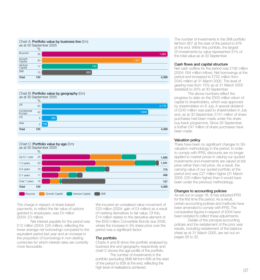

#### Chart B: **Portfolio value by geography** (£m) as at 30 September 2005





The charge in respect of share-based payments, to reflect the fair value of options granted to employees, was £4 million (2004: £3 million).

Net interest payable for the period was £12 million (2004: £25 million), reflecting the lower average net borrowings compared to the equivalent period last year and an increase in the proportion of borrowings in non-sterling currencies for which interest rates are currently more favourable.

We incurred an unrealised value movement of £33 million (2004: gain of £4 million) as a result of marking derivatives to fair value. Of this, £14 million relates to the derivative element of the €550 million Convertible Bonds due 2008, where the increase in 3i's share price over the period was a significant factor.

#### **The portfolio**

Charts A and B show the portfolio analysed by business line and geography respectively and chart C shows the age profile of the portfolio.

The number of investments in the portfolio (excluding SMI) fell from 695 at the start of the period to 609 at the end, reflecting the high level of realisations achieved.

The number of investments in the SMI portfolio fell from 807 at the start of the period to 676 at the end. Within this portfolio, the largest 20 investments by value represented 31% of the total value as at 30 September.

#### **Cash flows and capital structure**

Net cash outflow for the period was £192 million (2004: £64 million inflow). Net borrowings at the period end increased to £752 million from £545 million at 31 March 2005. The level of gearing rose from 15% as at 31 March 2005 (restated) to 20% at 30 September.

The above numbers reflect the progress to-date on the £500 million return of capital to shareholders, which was approved by shareholders on 6 July. A special dividend of £245 million was paid to shareholders in July and, as at 30 September, £151 million of share purchases had been made under the share buy-back programme. Since 30 September, a further £47 million of share purchases have been made.

#### **Valuation policy**

There have been no significant changes to 3i's valuation methodology in the period. In order to comply with IFRS, discounts are no longer applied to market prices in valuing our quoted investments and investments are valued at bid price rather than mid price. As a result, the carrying value of our quoted portfolio at the period end was £27 million higher (31 March 2005: £25 million higher) than it would have been under the previous methodology.

#### **Changes to accounting policies**

As set out on page 18, 3i has adopted IFRS for the first time this period. As a result, certain accounting policies and methods have been amended to comply with IFRS. The comparative figures in respect of 2004 have been restated to reflect these adjustments.

Details of the principal accounting policies and the restatement of the prior year results, including restatement of the balance sheet as at 31 March 2005, are set out on pages 26 to 32.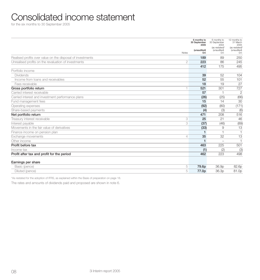### Consolidated income statement

for the six months to 30 September 2005

|                                                            |                | 6 months to<br>30 September<br>2005 | 6 months to<br>30 September<br>2004 | 12 months to<br>31 March<br>2005   |
|------------------------------------------------------------|----------------|-------------------------------------|-------------------------------------|------------------------------------|
|                                                            | <b>Notes</b>   | (unaudited)<br>£m                   | (as restated)*<br>(unaudited)<br>£m | (as restated)<br>(unaudited)<br>£m |
| Realised profits over value on the disposal of investments |                | 189                                 | 89                                  | 250                                |
| Unrealised profits on the revaluation of investments       | $\overline{2}$ | 223                                 | 86                                  | 245                                |
|                                                            |                | 412                                 | 175                                 | 495                                |
| Portfolio income                                           |                |                                     |                                     |                                    |
| <b>Dividends</b>                                           |                | 39                                  | 52                                  | 104                                |
| Income from loans and receivables                          |                | 52                                  | 55                                  | 101                                |
| Fees receivable                                            |                | 18                                  | 19                                  | 27                                 |
| Gross portfolio return                                     |                | 521                                 | 301                                 | 727                                |
| Carried interest receivable                                |                | 57                                  | 1                                   | $\overline{c}$                     |
| Carried interest and investment performance plans          |                | (26)                                | (25)                                | (66)                               |
| Fund management fees                                       |                | 15                                  | 14                                  | 30                                 |
| Operating expenses                                         |                | (92)                                | (80)                                | (171)                              |
| Share-based payments                                       |                | (4)                                 | (3)                                 | (6)                                |
| Net portfolio return                                       |                | 471                                 | 208                                 | 516                                |
| Treasury interest receivable                               | 3              | 25                                  | 21                                  | 46                                 |
| Interest payable                                           | 3              | (37)                                | (46)                                | (89)                               |
| Movements in the fair value of derivatives                 |                | (33)                                | 9                                   | 13                                 |
| Finance income on pension plan                             |                | 1                                   | 1                                   |                                    |
| Exchange movements                                         | $\Delta$       | 35                                  | 32                                  | 13                                 |
| Other income                                               |                | 1                                   |                                     |                                    |
| Profit before tax                                          |                | 463                                 | 225                                 | 501                                |
| Income tax                                                 |                | (1)                                 | (2)                                 | (3)                                |
| Profit after tax and profit for the period                 |                | 462                                 | 223                                 | 498                                |
| Earnings per share                                         |                |                                     |                                     |                                    |
| Basic (pence)                                              | 5              | 79.6 <sub>p</sub>                   | 36.9p                               | 82.6p                              |
| Diluted (pence)                                            | 5              | 77.0 <sub>p</sub>                   | 36.3p                               | 81.0p                              |

\*As restated for the adoption of IFRS, as explained within the Basis of preparation on page 18.

The rates and amounts of dividends paid and proposed are shown in note 6.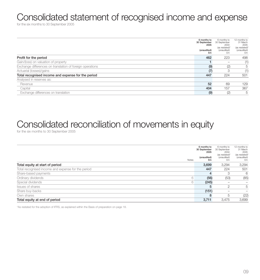### Consolidated statement of recognised income and expense

for the six months to 30 September 2005

|                                                           | 6 months to<br>30 September<br>2005<br>(unaudited)<br>£m | 6 months to<br>30 September<br>2004<br>(as restated)*<br>(unaudited)<br>£m | 12 months to<br>31 March<br>2005<br>(as restated)<br>(unaudited)<br>£m |
|-----------------------------------------------------------|----------------------------------------------------------|----------------------------------------------------------------------------|------------------------------------------------------------------------|
| Profit for the period                                     | 462                                                      | 223                                                                        | 498                                                                    |
| Gain/(loss) on valuation of property                      |                                                          | -                                                                          | (1)                                                                    |
| Exchange differences on translation of foreign operations | (9)                                                      | (2)                                                                        | 5                                                                      |
| Actuarial (losses)/gains                                  | (7)                                                      | 3                                                                          | (1)                                                                    |
| Total recognised income and expense for the period        | 447                                                      | 224                                                                        | 501                                                                    |
| Analysed in reserves as:                                  |                                                          |                                                                            |                                                                        |
| Revenue                                                   | 52                                                       | 69                                                                         | 129                                                                    |
| Capital                                                   | 404                                                      | 157                                                                        | 367                                                                    |
| Exchange differences on translation                       | (9)                                                      | (2)                                                                        | 5                                                                      |

### Consolidated reconciliation of movements in equity

for the six months to 30 September 2005

|                                                    |              | 6 months to<br>30 September<br>2005 | 6 months to<br>30 September<br>2004<br>(as restated)* | 12 months to<br>31 March<br>2005<br>(as restated)* |
|----------------------------------------------------|--------------|-------------------------------------|-------------------------------------------------------|----------------------------------------------------|
|                                                    | <b>Notes</b> | (unaudited)<br>£m                   | (unaudited)<br>£m                                     | (unaudited)<br>£m                                  |
| Total equity at start of period                    |              | 3,699                               | 3,294                                                 | 3,294                                              |
| Total recognised income and expense for the period |              | 447                                 | 224                                                   | 501                                                |
| Share-based payments                               |              | 4                                   | 3                                                     | 6                                                  |
| Ordinary dividends                                 | 6            | (56)                                | (53)                                                  | (85)                                               |
| Special dividends                                  | 6            | (245)                               | $\overline{\phantom{0}}$                              |                                                    |
| <b>Issues of shares</b>                            |              | 5                                   | 2                                                     | 5                                                  |
| Share buy-backs                                    |              | (151)                               |                                                       |                                                    |
| Own shares                                         |              | 8                                   | 5                                                     | (22)                                               |
| Total equity at end of period                      |              | 3,711                               | 3,475                                                 | 3,699                                              |
|                                                    |              |                                     |                                                       |                                                    |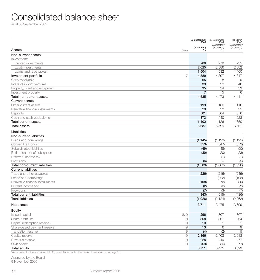### Consolidated balance sheet

as at 30 September 2005

|                                         | 30 September<br>2005 | 30 September<br>2004                | 31 March<br>2005                    |
|-----------------------------------------|----------------------|-------------------------------------|-------------------------------------|
| Assets<br>Notes                         | (unaudited)<br>£m    | (as restated)*<br>(unaudited)<br>£m | (as restated)*<br>(unaudited)<br>£m |
| Non-current assets                      |                      |                                     |                                     |
| Investments                             |                      |                                     |                                     |
| Quoted investments                      | 260                  | 279                                 | 235                                 |
| Equity investments                      | 2,625                | 2,586                               | 2,682                               |
| Loans and receivables                   | 1,504                | 1,532                               | 1,400                               |
| Investment portfolio<br>7               | 4,389                | 4,397                               | 4,317                               |
| Carry receivable                        | 65                   | 8                                   | 9                                   |
| Interests in joint ventures             | 39                   | 29                                  | 46                                  |
| Property, plant and equipment           | 35                   | 34                                  | 33                                  |
| Investment property                     | $\overline{7}$       | 5                                   | 6                                   |
| Total non-current assets                | 4,535                | 4,473                               | 4,411                               |
| <b>Current assets</b>                   |                      |                                     |                                     |
| Other current assets                    | 199                  | 160                                 | 116                                 |
| Derivative financial instruments        | 29                   | 22                                  | 35                                  |
| Deposits                                | 501                  | 504                                 | 576                                 |
| Cash and cash equivalents               | 373                  | 440                                 | 623                                 |
| <b>Total current assets</b>             | 1,102                | 1,126                               | 1,350                               |
| <b>Total assets</b>                     | 5,637                | 5,599                               | 5,761                               |
| Liabilities                             |                      |                                     |                                     |
| Non-current liabilities                 |                      |                                     |                                     |
| Loans and borrowings                    | (1, 145)             | (1, 193)                            | (1, 195)                            |
| Convertible Bonds                       | (353)                | (347)                               | (352)                               |
| Subordinated liabilities                | (49)                 | (48)                                | (50)                                |
| Retirement benefit obligation           | (30)                 | (20)                                | (23)                                |
| Deferred income tax                     | -                    | (1)                                 | (1)                                 |
| Provisions                              | (6)                  | $\qquad \qquad -$                   | (5)                                 |
| Total non-current liabilities           | (1, 583)             | (1,609)                             | (1,626)                             |
| <b>Current liabilities</b>              |                      |                                     |                                     |
| Trade and other payables                | (226)                | (216)                               | (245)                               |
| Loans and borrowings                    |                      | (222)                               | (102)                               |
| Derivative financial instruments        | (108)                | (72)                                | (80)                                |
| Current income tax                      | (2)                  | (2)                                 | (2)                                 |
| Provisions                              | (7)                  | (3)                                 | (7)                                 |
| <b>Total current liabilities</b>        | (343)                | (515)                               | (436)                               |
| <b>Total liabilities</b>                | (1,926)              | (2, 124)                            | (2,062)                             |
| Net assets                              | 3,711                | 3,475                               | 3,699                               |
| Equity                                  |                      |                                     |                                     |
| 8,9<br>Issued capital                   | 296                  | 307                                 | 307                                 |
| $\Theta$<br>Share premium               | 368                  | 361                                 | 364                                 |
| 9<br>Capital redemption reserve         | 13                   |                                     |                                     |
| Share-based payment reserve<br>$\Theta$ | 13                   | 6                                   | $\hbox{9}$                          |
| Translation reserve<br>9                | (4)                  | (2)                                 | 5                                   |
| Capital reserve<br>9                    | 2,866                | 2,403                               | 2,613                               |
| $\Theta$<br>Revenue reserve             | 228                  | 449                                 | 477                                 |
| 9<br>Own shares                         | (69)                 | (50)                                | (77)                                |
| <b>Total equity</b>                     | 3,711                | 3,475                               | 3,699                               |

\*As restated for the adoption of IFRS, as explained within the Basis of preparation on page 18.

Approved by the Board 9 November 2005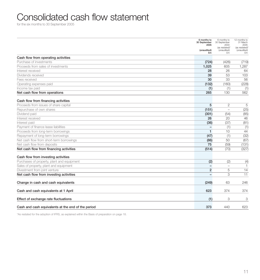### Consolidated cash flow statement

for the six months to 30 September 2005

|                                                    | 6 months to<br>30 September<br>2005 | 6 months to<br>30 September<br>2004 | 12 months to<br>31 March<br>2005 |
|----------------------------------------------------|-------------------------------------|-------------------------------------|----------------------------------|
|                                                    | (unaudited)                         | (as restated)'<br>(unaudited)       | (as restated)<br>(unaudited)     |
| Cash flow from operating activities                | £m                                  | £m                                  | £m                               |
| Purchase of investments                            | (724)                               | (426)                               | (719)                            |
| Proceeds from sales of investments                 | 1,025                               | 605                                 | 1,287                            |
| Interest received                                  | 28                                  | 26                                  | 64                               |
| Dividends received                                 | 39                                  | 53                                  | 103                              |
| Fees received                                      | 30                                  | 33                                  | 56                               |
| Operating expenses paid                            | (132)                               | (160)                               | (228)                            |
| Income tax paid                                    | (1)                                 | (1)                                 | (1)                              |
| Net cash flow from operations                      | 265                                 | 130                                 | 562                              |
| Cash flow from financing activities                |                                     |                                     |                                  |
| Proceeds from issues of share capital              | 5                                   | $\mathbf{2}$                        | 5                                |
| Repurchase of own shares                           | (151)                               | $\overline{\phantom{0}}$            | (25)                             |
| Dividend paid                                      | (301)                               | (54)                                | (85)                             |
| Interest received                                  | 26                                  | 20                                  | 46                               |
| Interest paid                                      | (36)                                | (37)                                | (81)                             |
| Payment of finance lease liabilities               | $\overline{\phantom{m}}$            | (1)                                 | (1)                              |
| Proceeds from long-term borrowings                 | $\mathbf{1}$                        | 10                                  | 44                               |
| Repayment of long-term borrowings                  | (47)                                | (1)                                 | (32)                             |
| Net cash flow from short-term borrowings           | (86)                                | 50                                  | (67)                             |
| Net cash flow from deposits                        | 75                                  | (59)                                | (131)                            |
| Net cash flow from financing activities            | (514)                               | (70)                                | (327)                            |
| Cash flow from investing activities                |                                     |                                     |                                  |
| Purchases of property, plant and equipment         | (2)                                 | (2)                                 | (4)                              |
| Sales of property, plant and equipment             |                                     |                                     | $\mathbf{1}$                     |
| Divestment from joint venture                      | $\overline{2}$                      | 5                                   | 14                               |
| Net cash flow from investing activities            | $\equiv$                            | 3                                   | 11                               |
| Change in cash and cash equivalents                | (249)                               | 63                                  | 246                              |
| Cash and cash equivalents at 1 April               | 623                                 | 374                                 | 374                              |
| Effect of exchange rate fluctuations               | (1)                                 | 3                                   | 3                                |
| Cash and cash equivalents at the end of the period | 373                                 | 440                                 | 623                              |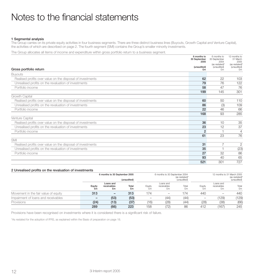## Notes to the financial statements

#### **1 Segmental analysis**

The Group carries on its private equity activities in four business segments. There are three distinct business lines (Buyouts, Growth Capital and Venture Capital), the activities of which are described on page 2. The fourth segment (SMI) contains the Group's smaller minority investments.

The Group allocates all items of income and expenditure within gross portfolio return to a business segment.

|                                                            | 6 months to<br>30 September<br>2005 | 6 months to<br>30 September<br>2004 | 12 months to<br>31 March<br>2005    |
|------------------------------------------------------------|-------------------------------------|-------------------------------------|-------------------------------------|
| Gross portfolio return                                     | (unaudited)<br>£m                   | (as restated)*<br>(unaudited)<br>£m | (as restated)*<br>(unaudited)<br>£m |
| <b>Buyouts</b>                                             |                                     |                                     |                                     |
| Realised profits over value on the disposal of investments | 62                                  | 22                                  | 103                                 |
| Unrealised profits on the revaluation of investments       | 79                                  | 76                                  | 122                                 |
| Portfolio income                                           | 58                                  | 47                                  | 76                                  |
|                                                            | 199                                 | 145                                 | 301                                 |
| Growth Capital                                             |                                     |                                     |                                     |
| Realised profits over value on the disposal of investments | 60                                  | 50                                  | 110                                 |
| Unrealised profits on the revaluation of investments       | 86                                  | (3)                                 | 109                                 |
| Portfolio income                                           | 22                                  | 46                                  | 66                                  |
|                                                            | 168                                 | 93                                  | 285                                 |
| Venture Capital                                            |                                     |                                     |                                     |
| Realised profits over value on the disposal of investments | 36                                  | 10                                  | 35                                  |
| Unrealised profits on the revaluation of investments       | 23                                  | 12                                  | 37                                  |
| Portfolio income                                           | 2                                   |                                     | $\overline{4}$                      |
|                                                            | 61                                  | 23                                  | 76                                  |
| <b>SMI</b>                                                 |                                     |                                     |                                     |
| Realised profits over value on the disposal of investments | 31                                  | 7                                   | 2                                   |
| Unrealised profits on the revaluation of investments       | 35                                  |                                     | (23)                                |
| Portfolio income                                           | 27                                  | 32                                  | 86                                  |
|                                                            | 93                                  | 40                                  | 65                                  |
|                                                            | 521                                 | 301                                 | 727                                 |

#### **2 Unrealised profits on the revaluation of investments**

|                                      |              | 6 months to 30 September 2005<br>(unaudited) |             |              | 6 months to 30 September 2004<br>(as restated)*<br>(unaudited) |             | 12 months to 31 March 2005<br>(as restated)*<br>(unaudited) |                                |             |
|--------------------------------------|--------------|----------------------------------------------|-------------|--------------|----------------------------------------------------------------|-------------|-------------------------------------------------------------|--------------------------------|-------------|
|                                      | Equity<br>£m | Loans and<br>receivables<br>£m               | Total<br>£m | Equity<br>£m | Loans and<br>receivables<br>£m                                 | Total<br>£m | Equity<br>£m                                                | Loans and<br>receivables<br>£m | Total<br>£m |
| Movement in the fair value of equity | 313          | $\overline{\phantom{0}}$                     | 313         | 174          | $\overline{\phantom{0}}$                                       | 174         | 440                                                         | -                              | 440         |
| Impairment of loans and receivables  | -            | (53)                                         | (53)        | -            | (44)                                                           | (44)        | $\overline{\phantom{a}}$                                    | (129)                          | (129)       |
| Provisions                           | (24)         | (13)                                         | (37)        | (16)         | (28)                                                           | (44)        | (28)                                                        | (38)                           | (66)        |
|                                      | 289          | (66)                                         | 223         | 158          | (72                                                            | 86          | 412                                                         | (167)                          | 245         |

Provisions have been recognised on investments where it is considered there is a significant risk of failure.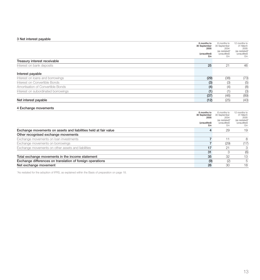#### **3 Net interest payable**

|                                     | 6 months to<br>30 September<br>2005 | 6 months to<br>30 September<br>2004<br>(as restated)* | 12 months to<br>31 March<br>2005<br>(as restated)* |
|-------------------------------------|-------------------------------------|-------------------------------------------------------|----------------------------------------------------|
|                                     | (unaudited)<br>£m                   | (unaudited)<br>£m                                     | (unaudited)<br>£m                                  |
| Treasury interest receivable        |                                     |                                                       |                                                    |
| Interest on bank deposits           | 25                                  | 21                                                    | 46                                                 |
| Interest payable                    |                                     |                                                       |                                                    |
| Interest on loans and borrowings    | (29)                                | (38)                                                  | (73)                                               |
| Interest on Convertible Bonds       | (3)                                 | (3)                                                   | (5)                                                |
| Amortisation of Convertible Bonds   | (4)                                 | (4)                                                   | (8)                                                |
| Interest on subordinated borrowings | (1)                                 | (1)                                                   | (3)                                                |
|                                     | (37)                                | (46)                                                  | (89)                                               |
| Net interest payable                | (12)                                | (25)                                                  | (43)                                               |

#### **4 Exchange movements**

|                                                                 | 6 months to<br>30 September<br>2005<br>(unaudited) | 6 months to<br>30 September<br>2004<br>(as restated)<br>(unaudited) | 12 months to<br>31 March<br>2005<br>(as restated)*<br>(unaudited) |
|-----------------------------------------------------------------|----------------------------------------------------|---------------------------------------------------------------------|-------------------------------------------------------------------|
|                                                                 | £m                                                 | £m                                                                  | £m                                                                |
| Exchange movements on assets and liabilities held at fair value | 4                                                  | 29                                                                  | 19                                                                |
| Other recognised exchange movements                             |                                                    |                                                                     |                                                                   |
| Exchange movements on loan investments                          |                                                    | 11                                                                  | 8                                                                 |
| Exchange movements on borrowings                                |                                                    | (29)                                                                | (17)                                                              |
| Exchange movements on other assets and liabilities              | 17                                                 | 21                                                                  | 3                                                                 |
|                                                                 | 31                                                 | 3                                                                   | (6)                                                               |
| Total exchange movements in the income statement                | 35                                                 | 32                                                                  | 13                                                                |
| Exchange differences on translation of foreign operations       | (9)                                                | (2)                                                                 | 5                                                                 |
| Net exchange movement                                           | 26                                                 | 30                                                                  | 18                                                                |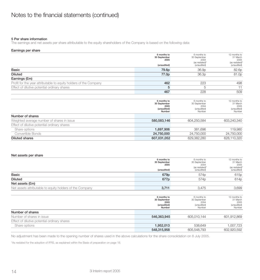#### **5 Per share information**

The earnings and net assets per share attributable to the equity shareholders of the Company is based on the following data:

#### **Earnings per share**

|                                                                   | 6 months to<br>30 September<br>2005<br>(unaudited)           | 6 months to<br>30 September<br>2004<br>(as restated)*<br>(unaudited) | 12 months to<br>31 March<br>2005<br>(as restated)*<br>(unaudited) |
|-------------------------------------------------------------------|--------------------------------------------------------------|----------------------------------------------------------------------|-------------------------------------------------------------------|
| Basic                                                             | 79.6 <sub>p</sub>                                            | 36.9p                                                                | 82.6p                                                             |
| <b>Diluted</b>                                                    | 77.0 <sub>p</sub>                                            | 36.3p                                                                | 81.0p                                                             |
| Earnings (£m)                                                     |                                                              |                                                                      |                                                                   |
| Profit for the year attributable to equity holders of the Company | 462                                                          | 223                                                                  | 498                                                               |
| Effect of dilutive potential ordinary shares                      | 5                                                            | 5                                                                    | 11                                                                |
|                                                                   | 467                                                          | 228                                                                  | 509                                                               |
|                                                                   | 6 months to<br>30 September<br>2005<br>(unaudited)<br>Number | 6 months to<br>30 September<br>2004<br>(unaudited)<br>Number         | 12 months to<br>31 March<br>2005<br>(unaudited)<br>Number         |

| Number of shares                             |             |             |             |
|----------------------------------------------|-------------|-------------|-------------|
| Weighted average number of shares in issue   | 580,583,146 | 604.250.584 | 603,240,340 |
| Effect of dilutive potential ordinary shares |             |             |             |
| Share options                                | 1,697,906   | 381.696     | 119,980     |
| Convertible Bonds                            | 24,750,000  | 24.750.000  | 24.750.000  |
| Diluted shares                               | 607,031,052 | 629.382.280 | 628,110,320 |

#### **Net assets per share**

|                                                          | 6 months to<br>30 September<br>2005 | 6 months to<br>30 September<br>2004 | 12 months to<br>31 March<br>2005 |
|----------------------------------------------------------|-------------------------------------|-------------------------------------|----------------------------------|
|                                                          | (unaudited)                         | (as restated)*<br>(unaudited)       | (as restated)*<br>(unaudited)    |
| Basic                                                    | 679 <sub>p</sub>                    | 574 <sub>p</sub>                    | 615p                             |
| <b>Diluted</b>                                           | 677 <sub>p</sub>                    | 574 <sub>p</sub>                    | 614p                             |
| Net assets (£m)                                          |                                     |                                     |                                  |
| Net assets attributable to equity holders of the Company | 3.711                               | 3.475                               | 3,699                            |
|                                                          |                                     |                                     |                                  |

|                                              | 6 months to<br>30 September<br>2005<br>(unaudited)<br>Number | 6 months to<br>30 September<br>2004<br>(unaudited)<br>Number | 12 months to<br>31 March<br>2005<br>(unaudited)<br>Number |
|----------------------------------------------|--------------------------------------------------------------|--------------------------------------------------------------|-----------------------------------------------------------|
| Number of shares                             |                                                              |                                                              |                                                           |
| Number of shares in issue                    | 546,363,945                                                  | 605.010.144                                                  | 601,912,869                                               |
| Effect of dilutive potential ordinary shares |                                                              |                                                              |                                                           |
| Share options                                | 1.952.013                                                    | 538,649                                                      | 1,007,723                                                 |
|                                              | 548,315,958                                                  | 605,548,793                                                  | 602,920,592                                               |

No adjustment has been made to the opening number of shares used in the above calculations for the share consolidation on 8 July 2005.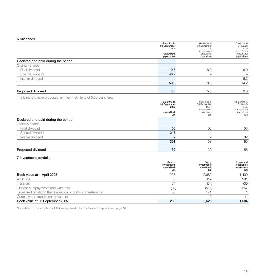#### **6 Dividends**

|                                                                    | 6 months to<br>30 September | 6 months to<br>30 September   | 12 months to<br>31 March     |
|--------------------------------------------------------------------|-----------------------------|-------------------------------|------------------------------|
|                                                                    | 2005                        | 2004                          | 2005                         |
|                                                                    | (unaudited)                 | (as restated)*<br>(unaudited) | (as restated)<br>(unaudited) |
|                                                                    | p per share                 | p per share                   | p per share                  |
| Declared and paid during the period                                |                             |                               |                              |
| Ordinary shares                                                    |                             |                               |                              |
| Final dividend                                                     | 9.3                         | 8.9                           | 8.9                          |
| Special dividend                                                   | 40.7                        | $\qquad \qquad -$             |                              |
| Interim dividend                                                   |                             | $\qquad \qquad$               | 5.3                          |
|                                                                    | 50.0                        | 8.9                           | 14.2                         |
|                                                                    |                             |                               |                              |
| Proposed dividend                                                  | 5.5                         | 5.3                           | 9.3                          |
| The Directors have proposed an interim dividend of 5.5p per share. |                             |                               |                              |
|                                                                    | 6 months to                 | 6 months to                   | 12 months to                 |
|                                                                    | 30 September<br>2005        | 30 September<br>2004          | 31 March<br>2005             |
|                                                                    |                             | (as restated)*                | (as restated)                |
|                                                                    | (unaudited)<br>£m           | (unaudited)<br>£m             | (unaudited)<br>£m            |
| Declared and paid during the period                                |                             |                               |                              |
| Ordinary shares                                                    |                             |                               |                              |
| Final dividend                                                     | 56                          | 53                            | 53                           |
| Special dividend                                                   | 245                         | $\overline{\phantom{0}}$      | -                            |
| Interim dividend                                                   |                             | $\overline{\phantom{m}}$      | 32                           |
|                                                                    | 301                         | 53                            | 85                           |
|                                                                    |                             |                               |                              |
| Proposed dividend                                                  | 30                          | 32                            | 56                           |

#### **7 Investment portfolio**

|                                                                | Quoted<br>investments<br>(unaudited)<br>£m | Equity<br>investments<br>(unaudited)<br>£m | Loans and<br>receivables<br>(unaudited)<br>£m |
|----------------------------------------------------------------|--------------------------------------------|--------------------------------------------|-----------------------------------------------|
| Book value at 1 April 2005*                                    | 235                                        | 2.682                                      | 1,400                                         |
| Additions                                                      |                                            | 312                                        | 391                                           |
| <b>Transfers</b>                                               | 64                                         | (34)                                       | (30)                                          |
| Disposals, repayments and write-offs                           | (98)                                       | (515)                                      | (257)                                         |
| Unrealised profits on the revaluation of portfolio investments | 56                                         | 171                                        |                                               |
| Currency and translation movement                              |                                            |                                            | (1)                                           |
| Book value at 30 September 2005                                | 260                                        | 2.625                                      | 1.504                                         |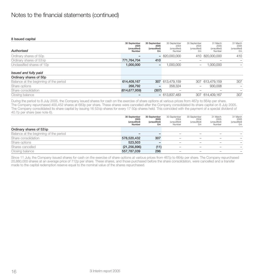#### **8 Issued capital**

| Authorised                                      | 30 September<br>2005<br>(unaudited)<br>Number | 30 September<br>2005<br>(unaudited)<br>£m | 30 September<br>2004<br>(unaudited)<br>Number | 30 September<br>2004<br>(unaudited)<br>£m | 31 March<br>2005<br>(unaudited)<br>Number | 31 March<br>2005<br>(unaudited)<br>£m |
|-------------------------------------------------|-----------------------------------------------|-------------------------------------------|-----------------------------------------------|-------------------------------------------|-------------------------------------------|---------------------------------------|
| Ordinary shares of 50p                          | -                                             |                                           | $-820,000,000$                                | 410                                       | 820,000,000                               | 410                                   |
| Ordinary shares of 53%p                         | 771,764,704                                   | 410                                       |                                               |                                           |                                           |                                       |
| Unclassified shares of 10p                      | 1,000,000                                     |                                           | 000,000,1                                     | -                                         | 000,000,1                                 |                                       |
| Issued and fully paid<br>Ordinary shares of 50p |                                               |                                           |                                               |                                           |                                           |                                       |
| Balance at the beginning of the period          | 614,409,167                                   |                                           | 307 613,479,159                               |                                           | 307 613,479,159                           | 307                                   |
| Share options                                   | 268,792                                       | $\overline{\phantom{0}}$                  | 358,324                                       |                                           | 930,008                                   |                                       |
| Share consolidation                             | (614, 677, 959)                               | (307)                                     |                                               |                                           |                                           |                                       |
| Closing balance                                 |                                               |                                           | $-613,837,483$                                |                                           | 307 614,409,167                           | 307                                   |

During the period to 8 July 2005, the Company issued shares for cash on the exercise of share options at various prices from 467p to 664p per share. The Company repurchased 400,452 shares at 683p per share. These shares were cancelled after the Company consolidated its share capital on 8 July 2005. The Company consolidated its share capital by issuing 16 53%p shares for every 17 50p shares held. This coincided with the payment of a special dividend of 40.7p per share (see note 6).

|                                        | 30 September<br>2005<br>(unaudited) | 30 September<br>2005<br>(unaudited) | 30 September<br>2004<br>(unaudited) | 30 September<br>2004<br>(unaudited) | 31 March<br>2005<br>(unaudited) | 31 March<br>2005<br>(unaudited) |
|----------------------------------------|-------------------------------------|-------------------------------------|-------------------------------------|-------------------------------------|---------------------------------|---------------------------------|
|                                        | Number                              | £m                                  | Number                              | £m                                  | Number                          | £m                              |
| Ordinary shares of 53%p                |                                     |                                     |                                     |                                     |                                 |                                 |
| Balance at the beginning of the period | -                                   |                                     | -                                   | -                                   |                                 |                                 |
| Share consolidation                    | 578,520,432                         | 307                                 |                                     |                                     |                                 |                                 |
| Share options                          | 523,503                             |                                     |                                     |                                     |                                 |                                 |
| Shares cancelled                       | (21, 256, 896)                      | (11)                                |                                     | -                                   |                                 |                                 |
| Closing balance                        | 557,787,039                         | 296                                 | $\overline{\phantom{0}}$            | -                                   | $\overline{\phantom{0}}$        |                                 |

Since 11 July, the Company issued shares for cash on the exercise of share options at various prices from 467p to 664p per share. The Company repurchased 20,880,000 shares at an average price of 712p per share. These shares, and those purchased before the share consolidation, were cancelled and a transfer made to the capital redemption reserve equal to the nominal value of the shares repurchased.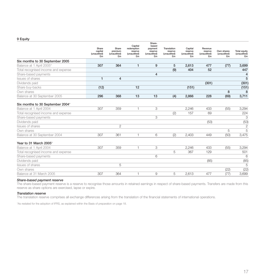#### **9 Equity**

|                                     |                                       |                                       | Capital                                    | Share-<br>based                         |                                             |                                         |                                         |                                 |                                          |
|-------------------------------------|---------------------------------------|---------------------------------------|--------------------------------------------|-----------------------------------------|---------------------------------------------|-----------------------------------------|-----------------------------------------|---------------------------------|------------------------------------------|
|                                     | Share<br>capital<br>(unaudited)<br>£m | Share<br>premium<br>(unaudited)<br>£m | redemption<br>reserve<br>(unaudited)<br>£m | payment<br>reserve<br>(unaudited)<br>£m | Translation<br>reserve<br>(unaudited)<br>£m | Capital<br>reserve<br>(unaudited)<br>£m | Revenue<br>reserve<br>(unaudited)<br>£m | Own shares<br>(unaudited)<br>£m | <b>Total equity</b><br>(unaudited)<br>£m |
| Six months to 30 September 2005     |                                       |                                       |                                            |                                         |                                             |                                         |                                         |                                 |                                          |
| Balance at 1 April 2005*            | 307                                   | 364                                   | 1                                          | 9                                       | 5                                           | 2,613                                   | 477                                     | (77)                            | 3,699                                    |
| Total recognised income and expense |                                       |                                       |                                            |                                         | (9)                                         | 404                                     | 52                                      |                                 | 447                                      |
| Share-based payments                |                                       |                                       |                                            | 4                                       |                                             |                                         |                                         |                                 | 4                                        |
| Issues of shares                    | $\mathbf{1}$                          | $\overline{4}$                        |                                            |                                         |                                             |                                         |                                         |                                 | 5                                        |
| Dividends paid                      |                                       |                                       |                                            |                                         |                                             |                                         | (301)                                   |                                 | (301)                                    |
| Share buy-backs                     | (12)                                  |                                       | 12                                         |                                         |                                             | (151)                                   |                                         |                                 | (151)                                    |
| Own shares                          |                                       |                                       |                                            |                                         |                                             |                                         |                                         | 8                               | 8                                        |
| Balance at 30 September 2005        | 296                                   | 368                                   | 13                                         | 13                                      | (4)                                         | 2,866                                   | 228                                     | (69)                            | 3,711                                    |
| Six months to 30 September 2004*    |                                       |                                       |                                            |                                         |                                             |                                         |                                         |                                 |                                          |
| Balance at 1 April 2004             | 307                                   | 359                                   | 1                                          | З                                       |                                             | 2,246                                   | 433                                     | (55)                            | 3,294                                    |
| Total recognised income and expense |                                       |                                       |                                            |                                         | (2)                                         | 157                                     | 69                                      |                                 | 224                                      |
| Share-based payments                |                                       |                                       |                                            | 3                                       |                                             |                                         |                                         |                                 | 3                                        |
| Dividends paid                      |                                       |                                       |                                            |                                         |                                             |                                         | (53)                                    |                                 | (53)                                     |
| <b>Issues of shares</b>             |                                       | $\overline{2}$                        |                                            |                                         |                                             |                                         |                                         |                                 | $\overline{c}$                           |
| Own shares                          |                                       |                                       |                                            |                                         |                                             |                                         |                                         | 5                               | 5                                        |
| Balance at 30 September 2004        | 307                                   | 361                                   | 1                                          | 6                                       | (2)                                         | 2,403                                   | 449                                     | (50)                            | 3,475                                    |
| Year to 31 March 2005*              |                                       |                                       |                                            |                                         |                                             |                                         |                                         |                                 |                                          |
| Balance at 1 April 2004             | 307                                   | 359                                   | $\overline{1}$                             | 3                                       |                                             | 2,246                                   | 433                                     | (55)                            | 3,294                                    |
| Total recognised income and expense |                                       |                                       |                                            |                                         | 5                                           | 367                                     | 129                                     |                                 | 501                                      |
| Share-based payments                |                                       |                                       |                                            | 6                                       |                                             |                                         |                                         |                                 | 6                                        |
| Dividends paid                      |                                       |                                       |                                            |                                         |                                             |                                         | (85)                                    |                                 | (85)                                     |
| <b>Issues of shares</b>             |                                       | 5                                     |                                            |                                         |                                             |                                         |                                         |                                 | 5                                        |
| Own shares                          |                                       |                                       |                                            |                                         |                                             |                                         |                                         | (22)                            | (22)                                     |
| Balance at 31 March 2005            | 307                                   | 364                                   |                                            | 9                                       | 5                                           | 2,613                                   | 477                                     | (77)                            | 3,699                                    |

#### *Share-based payment reserve*

The share-based payment reserve is a reserve to recognise those amounts in retained earnings in respect of share-based payments. Transfers are made from this reserve as share options are exercised, lapse or expire.

#### *Translation reserve*

The translation reserve comprises all exchange differences arising from the translation of the financial statements of international operations.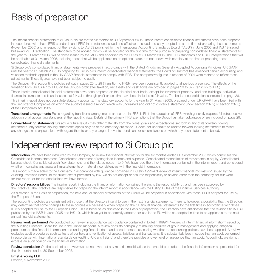### Basis of preparation

The interim financial statements of 3i Group plc are for the six months to 30 September 2005. These interim consolidated financial statements have been prepared in accordance with those IFRS standards and IFRIC interpretations issued and effective or issued and early adopted as at the time of preparing these statements (November 2005) and in respect of the revisions to IAS 39 published by the International Accounting Standards Board ("IASB") in June 2005 and IAS 19 issued but awaiting EU ratification. The standards to be applied, which will be adopted for the first time for the purpose of preparing consolidated financial statements for the year to 31 March 2006, will be those issued by the IASB and endorsed by the EU as at 31 March 2006. The IFRS standards and IFRIC interpretations that will be applicable at 31 March 2006, including those that will be applicable on an optional basis, are not known with certainty at the time of preparing these consolidated financial statements.

3i Group plc's consolidated financial statements were prepared in accordance with the United Kingdom's Generally Accepted Accounting Principles (UK GAAP) until the year to 31 March 2005. In preparing 3i Group plc's interim consolidated financial statements, the Board of Directors has amended certain accounting and valuation methods applied in the UK GAAP financial statements to comply with IFRS. The comparative figures in respect of 2004 were restated to reflect these adjustments. These figures have not been subject to audit.

The Group's IFRS accounting policies set out in pages 26 to 29 (Transition to IFRS) have been consistently applied to all periods presented. The effects of the transition from UK GAAP to IFRS on the Group's profit after taxation, net assets and cash flows are provided in pages 29 to 32 (Transition to IFRS).

These interim consolidated financial statements have been prepared on the historical cost basis, except for investment property, land and buildings, derivative financial instruments and financial assets at fair value through profit or loss that have been included at fair value. The basis of consolidation is included on page 26.

This interim report does not constitute statutory accounts. The statutory accounts for the year to 31 March 2005, prepared under UK GAAP, have been filed with the Registrar of Companies on which the auditors issued a report, which was unqualified and did not contain a statement under section 237(2) or section 237(3) of the Companies Act 1985.

**Transitional arrangements** Rules regarding transitional arrangements are set out in IFRS 1, First-time adoption of IFRS, which generally requires full retrospective adoption of all accounting standards at the reporting date. Details of the primary IFRS exemptions that the Group has taken advantage of are included on page 29.

**Forward-looking statements** 3i's actual future results may differ materially from the plans, goals and expectations set forth in any of its forward-looking statements. Any forward-looking statements speak only as of the date they are made. 3i does not undertake to update forward-looking statements to reflect any changes in its expectations with regard thereto or any changes in events, conditions or circumstances on which any such statement is based.

### Independent review report to 3i Group plc

**Introduction** We have been instructed by the Company to review the financial information for the six months ended 30 September 2005 which comprises the Consolidated income statement, Consolidated statement of recognised income and expense, Consolidated reconciliation of movements in equity, Consolidated balance sheet, Consolidated cash flow statement, and the related notes 1 to 9. We have read the other information contained in the interim report and considered whether it contains any apparent misstatements or material inconsistencies with the financial information.

This report is made solely to the Company in accordance with guidance contained in Bulletin 1999/4 "Review of interim financial information" issued by the Auditing Practices Board. To the fullest extent permitted by law, we do not accept or assume responsibility to anyone other than the company, for our work, for this report, or for the conclusions we have formed.

**Directors' responsibilities** The interim report, including the financial information contained therein, is the responsibility of, and has been approved by, the Directors. The Directors are responsible for preparing the interim report in accordance with the Listing Rules of the Financial Services Authority. As disclosed in the Basis of preparation, the next annual financial statements of the Group will be prepared in accordance with those IFRSs adopted for use by the European Union.

The accounting policies are consistent with those that the Directors intend to use in the next financial statements. There is, however, a possibility that the Directors may determine that some changes to these policies are necessary when preparing the full annual financial statements for the first time in accordance with those IFRSs adopted for use by the European Union. This is because as disclosed in the Basis of preparation, the Directors have anticipated that the revisions to IAS 39 published by the IASB in June 2005 and IAS 19, which have yet to be formally adopted for use in the EU will be so adopted in time to be applicable to the next annual financial statements.

**Review work performed** We conducted our review in accordance with guidance contained in Bulletin 1999/4 "Review of interim financial information" issued by the Auditing Practices Board for use in the United Kingdom. A review consists principally of making enquiries of group management and applying analytical procedures to the financial information and underlying financial data, and based thereon, assessing whether the accounting policies have been applied. A review excludes audit procedures such as tests of controls and verification of assets, liabilities and transactions. It is substantially less in scope than an audit performed in accordance with International Standards on Auditing (UK and Ireland) and therefore provides a lower level of assurance than an audit. Accordingly, we do not express an audit opinion on the financial information.

**Review conclusion** On the basis of our review we are not aware of any material modifications that should be made to the financial information as presented for the six months ended 30 September 2005.

#### **Ernst & Young LLP**

London, 9 November 2005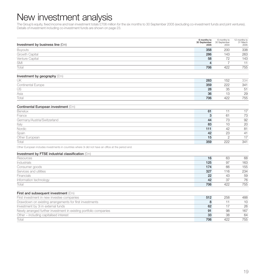### New investment analysis

The Group's equity, fixed income and loan investment totals £706 million for the six months to 30 September 2005 (excluding co-investment funds and joint ventures). Details of investment including co-investment funds are shown on page 23.

| Investment by business line (£m)                                                                    | 6 months to<br>30 September<br>2005 | 6 months to<br>30 September<br>2004 | 12 months to<br>31 March<br>2005 |
|-----------------------------------------------------------------------------------------------------|-------------------------------------|-------------------------------------|----------------------------------|
| <b>Buyouts</b>                                                                                      | 358                                 | 200                                 | 338                              |
| Growth Capital                                                                                      | 286                                 | 143                                 | 263                              |
| Venture Capital                                                                                     | 58                                  | $\overline{72}$                     | 143                              |
| SMI                                                                                                 | 4                                   | $\overline{7}$                      | 11                               |
| Total                                                                                               | 706                                 | 422                                 | 755                              |
| Investment by geography (£m)                                                                        |                                     |                                     |                                  |
| UK                                                                                                  | 283                                 | 152                                 | 334                              |
| Continental Europe                                                                                  | 359                                 | 222                                 | 341                              |
| US                                                                                                  | 28                                  | 35                                  | 51                               |
| Asia                                                                                                | 36                                  | 13                                  | 29                               |
| Total                                                                                               | 706                                 | 422                                 | 755                              |
|                                                                                                     |                                     |                                     |                                  |
| Continental European investment (£m)                                                                |                                     |                                     |                                  |
| Benelux                                                                                             | 61                                  | 11                                  | 17                               |
| France                                                                                              | 3                                   | 61                                  | 73                               |
| Germany/Austria/Switzerland                                                                         | 44                                  | 73                                  | 92                               |
| Italy                                                                                               | 83                                  | 10                                  | 20                               |
| Nordic                                                                                              | 111                                 | 42                                  | 81                               |
| Spain                                                                                               | 42                                  | 23                                  | 41                               |
| Other European                                                                                      | 15                                  | $\overline{2}$                      | 17                               |
| Total                                                                                               | 359                                 | 222                                 | 341                              |
| Other European includes investments in countries where 3i did not have an office at the period end. |                                     |                                     |                                  |
| Investment by FTSE industrial classification (£m)                                                   |                                     |                                     |                                  |
| Resources                                                                                           | 16                                  | 63                                  | 68                               |
| Industrials                                                                                         | 125                                 | 97                                  | 163                              |
| Consumer goods                                                                                      | 174                                 | 66                                  | 155                              |
| Services and utilities                                                                              | 327                                 | 116                                 | 234                              |
| Financials                                                                                          | 22                                  | 43                                  | 59                               |
| Information technology                                                                              | 42                                  | 37                                  | 76                               |
| Total                                                                                               | 706                                 | 422                                 | 755                              |
| First and subsequent investment (£m)                                                                |                                     |                                     |                                  |
| First investment in new investee companies                                                          | 512                                 | 258                                 | 488                              |
| Drawdown on existing arrangements for first investments                                             | 8                                   | 11                                  | 10                               |
| Investment by 3i in external funds                                                                  | 62                                  | 17                                  | 26                               |
| Newly arranged further investment in existing portfolio companies                                   | 91                                  | 98                                  | 167                              |
| Other - including capitalised interest                                                              | 33                                  | 38                                  | 64                               |
| Total                                                                                               | 706                                 | 422                                 | 755                              |
|                                                                                                     |                                     |                                     |                                  |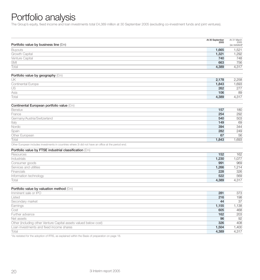### Portfolio analysis

The Group's equity, fixed income and loan investments total £4,389 million at 30 September 2005 (excluding co-investment funds and joint ventures).

| 1,665<br>1,521<br>1,292<br>1,321<br>740<br>748<br>663<br>756<br>4,389<br>4,317<br>Portfolio value by geography (£m)<br>2,178<br>UK<br>2,258<br>1,843<br>1,693<br>Continental Europe<br>US<br>262<br>277<br>106<br>89<br>Asia<br>Total<br>4,389<br>4,317<br>157<br>180<br>254<br>292<br>540<br>503<br>69<br>149<br>344<br>394<br>282<br>249<br>56<br>67<br>1,843<br>1,693<br>Resources<br>152<br>162<br><b>Industrials</b><br>1,230<br>1,077<br>991<br>969<br>Consumer goods<br>1,214<br>Services and utilities<br>1,266<br>228<br>326<br>522<br>569<br>Information technology<br>4,389<br>Portfolio value by valuation method (£m)<br>281<br>373<br>Listed<br>216<br>198<br>44<br>37<br>Secondary market<br>1,155<br>1,138<br>Earnings<br>605<br>468<br>Cost | Portfolio value by business line (£m)                                                               | At 30 September<br>2005 | At 31 March<br>2005<br>(as restated)' |
|--------------------------------------------------------------------------------------------------------------------------------------------------------------------------------------------------------------------------------------------------------------------------------------------------------------------------------------------------------------------------------------------------------------------------------------------------------------------------------------------------------------------------------------------------------------------------------------------------------------------------------------------------------------------------------------------------------------------------------------------------------------|-----------------------------------------------------------------------------------------------------|-------------------------|---------------------------------------|
|                                                                                                                                                                                                                                                                                                                                                                                                                                                                                                                                                                                                                                                                                                                                                              | <b>Buyouts</b>                                                                                      |                         |                                       |
| 4,317                                                                                                                                                                                                                                                                                                                                                                                                                                                                                                                                                                                                                                                                                                                                                        | Growth Capital                                                                                      |                         |                                       |
|                                                                                                                                                                                                                                                                                                                                                                                                                                                                                                                                                                                                                                                                                                                                                              | Venture Capital                                                                                     |                         |                                       |
|                                                                                                                                                                                                                                                                                                                                                                                                                                                                                                                                                                                                                                                                                                                                                              | <b>SMI</b>                                                                                          |                         |                                       |
|                                                                                                                                                                                                                                                                                                                                                                                                                                                                                                                                                                                                                                                                                                                                                              | Total                                                                                               |                         |                                       |
|                                                                                                                                                                                                                                                                                                                                                                                                                                                                                                                                                                                                                                                                                                                                                              |                                                                                                     |                         |                                       |
|                                                                                                                                                                                                                                                                                                                                                                                                                                                                                                                                                                                                                                                                                                                                                              |                                                                                                     |                         |                                       |
|                                                                                                                                                                                                                                                                                                                                                                                                                                                                                                                                                                                                                                                                                                                                                              |                                                                                                     |                         |                                       |
|                                                                                                                                                                                                                                                                                                                                                                                                                                                                                                                                                                                                                                                                                                                                                              |                                                                                                     |                         |                                       |
|                                                                                                                                                                                                                                                                                                                                                                                                                                                                                                                                                                                                                                                                                                                                                              |                                                                                                     |                         |                                       |
|                                                                                                                                                                                                                                                                                                                                                                                                                                                                                                                                                                                                                                                                                                                                                              |                                                                                                     |                         |                                       |
|                                                                                                                                                                                                                                                                                                                                                                                                                                                                                                                                                                                                                                                                                                                                                              |                                                                                                     |                         |                                       |
|                                                                                                                                                                                                                                                                                                                                                                                                                                                                                                                                                                                                                                                                                                                                                              | Continental European portfolio value (£m)                                                           |                         |                                       |
|                                                                                                                                                                                                                                                                                                                                                                                                                                                                                                                                                                                                                                                                                                                                                              | Benelux                                                                                             |                         |                                       |
|                                                                                                                                                                                                                                                                                                                                                                                                                                                                                                                                                                                                                                                                                                                                                              | France                                                                                              |                         |                                       |
|                                                                                                                                                                                                                                                                                                                                                                                                                                                                                                                                                                                                                                                                                                                                                              | Germany/Austria/Switzerland                                                                         |                         |                                       |
|                                                                                                                                                                                                                                                                                                                                                                                                                                                                                                                                                                                                                                                                                                                                                              | Italy                                                                                               |                         |                                       |
|                                                                                                                                                                                                                                                                                                                                                                                                                                                                                                                                                                                                                                                                                                                                                              | Nordic                                                                                              |                         |                                       |
|                                                                                                                                                                                                                                                                                                                                                                                                                                                                                                                                                                                                                                                                                                                                                              | Spain                                                                                               |                         |                                       |
|                                                                                                                                                                                                                                                                                                                                                                                                                                                                                                                                                                                                                                                                                                                                                              | Other European                                                                                      |                         |                                       |
|                                                                                                                                                                                                                                                                                                                                                                                                                                                                                                                                                                                                                                                                                                                                                              | Total                                                                                               |                         |                                       |
|                                                                                                                                                                                                                                                                                                                                                                                                                                                                                                                                                                                                                                                                                                                                                              | Other European includes investments in countries where 3i did not have an office at the period end. |                         |                                       |
|                                                                                                                                                                                                                                                                                                                                                                                                                                                                                                                                                                                                                                                                                                                                                              | Portfolio value by FTSE industrial classification (£m)                                              |                         |                                       |
|                                                                                                                                                                                                                                                                                                                                                                                                                                                                                                                                                                                                                                                                                                                                                              |                                                                                                     |                         |                                       |
|                                                                                                                                                                                                                                                                                                                                                                                                                                                                                                                                                                                                                                                                                                                                                              |                                                                                                     |                         |                                       |
|                                                                                                                                                                                                                                                                                                                                                                                                                                                                                                                                                                                                                                                                                                                                                              |                                                                                                     |                         |                                       |
|                                                                                                                                                                                                                                                                                                                                                                                                                                                                                                                                                                                                                                                                                                                                                              |                                                                                                     |                         |                                       |
|                                                                                                                                                                                                                                                                                                                                                                                                                                                                                                                                                                                                                                                                                                                                                              | Financials                                                                                          |                         |                                       |
|                                                                                                                                                                                                                                                                                                                                                                                                                                                                                                                                                                                                                                                                                                                                                              |                                                                                                     |                         |                                       |
|                                                                                                                                                                                                                                                                                                                                                                                                                                                                                                                                                                                                                                                                                                                                                              | Total                                                                                               |                         |                                       |
|                                                                                                                                                                                                                                                                                                                                                                                                                                                                                                                                                                                                                                                                                                                                                              |                                                                                                     |                         |                                       |
|                                                                                                                                                                                                                                                                                                                                                                                                                                                                                                                                                                                                                                                                                                                                                              | Imminent sale or IPO                                                                                |                         |                                       |
|                                                                                                                                                                                                                                                                                                                                                                                                                                                                                                                                                                                                                                                                                                                                                              |                                                                                                     |                         |                                       |
|                                                                                                                                                                                                                                                                                                                                                                                                                                                                                                                                                                                                                                                                                                                                                              |                                                                                                     |                         |                                       |
|                                                                                                                                                                                                                                                                                                                                                                                                                                                                                                                                                                                                                                                                                                                                                              |                                                                                                     |                         |                                       |
|                                                                                                                                                                                                                                                                                                                                                                                                                                                                                                                                                                                                                                                                                                                                                              |                                                                                                     |                         |                                       |
|                                                                                                                                                                                                                                                                                                                                                                                                                                                                                                                                                                                                                                                                                                                                                              | Further advance                                                                                     | 162                     | 203                                   |
| 96<br>92                                                                                                                                                                                                                                                                                                                                                                                                                                                                                                                                                                                                                                                                                                                                                     | Net assets                                                                                          |                         |                                       |
| 326<br>408                                                                                                                                                                                                                                                                                                                                                                                                                                                                                                                                                                                                                                                                                                                                                   | Other (including other Venture Capital assets valued below cost)                                    |                         |                                       |
| 1,504<br>1,400                                                                                                                                                                                                                                                                                                                                                                                                                                                                                                                                                                                                                                                                                                                                               | Loan investments and fixed income shares                                                            |                         |                                       |
| 4,389<br>4,317                                                                                                                                                                                                                                                                                                                                                                                                                                                                                                                                                                                                                                                                                                                                               | Total                                                                                               |                         |                                       |
|                                                                                                                                                                                                                                                                                                                                                                                                                                                                                                                                                                                                                                                                                                                                                              | *As restated for the adoption of IFRS, as explained within the Basis of preparation on page 18.     |                         |                                       |

20 3i Interim report 2005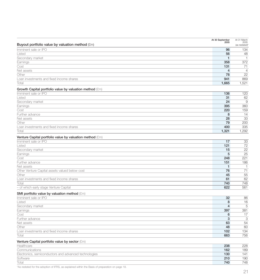| Buyout portfolio value by valuation method (£m) | At 30 September<br>2005 | At 31 March<br>2005<br>(as restated)* |
|-------------------------------------------------|-------------------------|---------------------------------------|
| Imminent sale or IPO                            | 96                      | 134                                   |
| Listed                                          | 56                      | 48                                    |
| Secondary market                                |                         |                                       |
| Earnings                                        | 358                     | 372                                   |
| Cost                                            | 131                     | 71                                    |
| Net assets                                      | 4                       | $\overline{4}$                        |
| Other                                           | 78                      | 22                                    |
| Loan investments and fixed income shares        | 941                     | 869                                   |
| Total                                           | 1,665                   | 1,521                                 |

#### **Growth Capital portfolio value by valuation method** (£m)

| Imminent sale or IPO                     | 136   | 120   |
|------------------------------------------|-------|-------|
| Listed                                   | 31    | 62    |
| Secondary market                         | 24    | 9     |
| Earnings                                 | 395   | 360   |
| Cost                                     | 220   | 159   |
| Further advance                          | 8     | 14    |
| Net assets                               | 28    | 33    |
| Other                                    | 79    | 200   |
| Loan investments and fixed income shares | 400   | 335   |
| Total                                    | 1,321 | 1,292 |

#### **Venture Capital portfolio value by valuation method** (£m)

| Imminent sale or IPO                           | 17  | 33  |
|------------------------------------------------|-----|-----|
| Listed                                         | 121 | 72  |
| Secondary market                               | 15  | 22  |
| Earnings                                       | 5   | 25  |
| Cost                                           | 248 | 221 |
| Further advance                                | 151 | 186 |
| Net assets                                     |     |     |
| Other Venture Capital assets valued below cost | 76  | 71  |
| Other                                          | 45  | 55  |
| Loan investments and fixed income shares       | 61  | 62  |
| Total                                          | 740 | 748 |
| - of which early stage Venture Capital         | 622 | 561 |

#### **SMI portfolio value by valuation method** (£m)

| Imminent sale or IPO                     | 32  | 86  |
|------------------------------------------|-----|-----|
| Listed                                   |     | 16  |
| Secondary market                         | 4   | 5   |
| Earnings                                 | 397 | 381 |
| Cost                                     | 6   | 17  |
| Further advance                          |     | 3   |
| Net assets                               | 63  | 54  |
| Other                                    | 48  | 60  |
| Loan investments and fixed income shares | 102 | 134 |
| Total                                    | 663 | 756 |

#### **Venture Capital portfolio value by sector** (£m)

| Healthcare                                            | 238 | 228 |
|-------------------------------------------------------|-----|-----|
| Communications                                        | 162 | 189 |
| Electronics, semiconductors and advanced technologies | 130 | 141 |
| Software                                              | 210 | 190 |
| Total                                                 | 740 | 748 |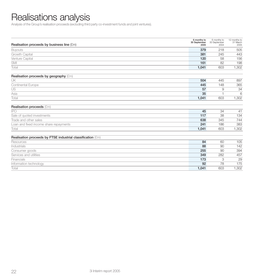### Realisations analysis

Analysis of the Group's realisation proceeds (excluding third party co-investment funds and joint ventures).

| Realisation proceeds by business line (£m)                  | 6 months to<br>30 September<br>2005 | 6 months to<br>30 September<br>2004 | 12 months to<br>31 March<br>2005 |
|-------------------------------------------------------------|-------------------------------------|-------------------------------------|----------------------------------|
| <b>Buyouts</b>                                              | 379                                 | 218                                 | 505                              |
| Growth Capital                                              | 381                                 | 245                                 | 443                              |
| Venture Capital                                             | 120                                 | 58                                  | 156                              |
| SMI                                                         | 161                                 | 82                                  | 198                              |
| Total                                                       | 1,041                               | 603                                 | 1,302                            |
| Realisation proceeds by geography (£m)                      |                                     |                                     |                                  |
| UK                                                          | 504                                 | 445                                 | 897                              |
| Continental Europe                                          | 445                                 | 148                                 | 365                              |
| US                                                          | 57                                  | 9                                   | 34                               |
| Asia                                                        | 35                                  |                                     | 6                                |
| Total                                                       | 1,041                               | 603                                 | 1,302                            |
| Realisation proceeds (£m)                                   |                                     |                                     |                                  |
| <b>IPO</b>                                                  | 45                                  | 34                                  | 41                               |
| Sale of quoted investments                                  | 117                                 | 38                                  | 134                              |
| Trade and other sales                                       | 638                                 | 345                                 | 744                              |
| Loan and fixed income share repayments                      | 241                                 | 186                                 | 383                              |
| Total                                                       | 1,041                               | 603                                 | 1,302                            |
| Realisation proceeds by FTSE industrial classification (£m) |                                     |                                     |                                  |
| Resources                                                   | 84                                  | 60                                  | 105                              |
| Industrials                                                 | 88                                  | 90                                  | 142                              |
| Consumer goods                                              | 255                                 | 90                                  | 394                              |
| Services and utilities                                      | 349                                 | 282                                 | 457                              |
| Financials                                                  | 173                                 | 3                                   | 29                               |
| Information technology                                      | 92                                  | 78                                  | 175                              |
| Total                                                       | 1,041                               | 603                                 | 1,302                            |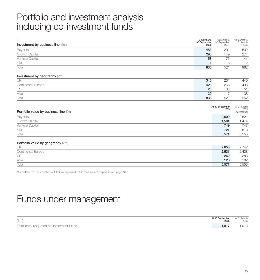### Portfolio and investment analysis including co-investment funds

| Investment by business line (£m)      | 6 months to<br>30 September<br>2005 | 6 months to<br>30 September<br>2004 | 12 months to<br>31 March<br>2005      |
|---------------------------------------|-------------------------------------|-------------------------------------|---------------------------------------|
| Buyouts                               | 483                                 | 291                                 | 532                                   |
| Growth Capital                        | 290                                 | 149                                 | 274                                   |
| Venture Capital                       | 58                                  | 73                                  | 144                                   |
| <b>SMI</b>                            | $\overline{4}$                      | 8                                   | 12                                    |
| Total                                 | 835                                 | 521                                 | 962                                   |
| Investment by geography (£m)          |                                     |                                     |                                       |
| UK                                    | 345                                 | 201                                 | 440                                   |
| Continental Europe                    | 423                                 | 268                                 | 433                                   |
| US                                    | 28                                  | 35                                  | 51                                    |
| Asia                                  | 39                                  | 17                                  | 38                                    |
| Total                                 | 835                                 | 521                                 | 962                                   |
| Portfolio value by business line (£m) |                                     | At 30 September<br>2005             | At 31 March<br>2005<br>(as restated)* |
| <b>Buyouts</b>                        |                                     | 2,600                               | 2,521                                 |
| Growth Capital                        |                                     | 1,501                               | 1,474                                 |
| Venture Capital                       |                                     | 749                                 | 747                                   |
| SMI                                   |                                     | 721                                 | 813                                   |
| Total                                 |                                     | 5,571                               | 5,555                                 |
| Portfolio value by geography (£m)     |                                     |                                     |                                       |
| UK                                    |                                     | 2,650                               | 2,742                                 |
| Continental Europe                    |                                     | 2,531                               | 2,428                                 |
| US                                    |                                     | 262                                 | 283                                   |
| Asia                                  |                                     | 128                                 | 102                                   |
| Total                                 |                                     | 5,571                               | 5,555                                 |

\*As restated for the adoption of IFRS, as explained within the Basis of preparation on page 18.

### Funds under management

| $(\text{Em})$                                | At 30 September<br>.<br>2005 | March<br>2005                         |
|----------------------------------------------|------------------------------|---------------------------------------|
| i hirr<br>tunds<br>$\cap$<br>، ۱۵<br>$1 - 1$ | 047<br>.o i /                | $\bigcap$ -1 $\bigcap$<br>◡<br>ن ا ت، |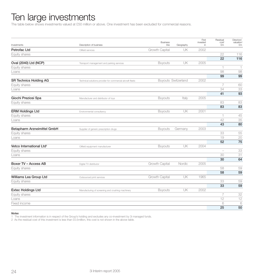### Ten large investments

The table below shows investments valued at £50 million or above. One investment has been excluded for commercial reasons.

| Investments                          | Description of business                                     | <b>Business</b><br>line | Geography                  | First<br>invested<br>in | Residual<br>cost <sup>1</sup><br>£m | Directors'<br>valuation<br>£m |
|--------------------------------------|-------------------------------------------------------------|-------------------------|----------------------------|-------------------------|-------------------------------------|-------------------------------|
| Petrofac Ltd                         | Oilfield services                                           | Growth Capital          | UK                         | 2002                    |                                     |                               |
| Equity shares                        |                                                             |                         |                            |                         | 22                                  | 116                           |
|                                      |                                                             |                         |                            |                         | 22                                  | 116                           |
| Oval (2040) Ltd (NCP)                | Transport management and parking services                   | <b>Buyouts</b>          | UK                         | 2005                    |                                     |                               |
| Equity shares                        |                                                             |                         |                            |                         | $\overline{\phantom{a}}$            | 1                             |
| Loans                                |                                                             |                         |                            |                         | 98                                  | 98                            |
|                                      |                                                             |                         |                            |                         | 99                                  | 99                            |
| <b>SR Technics Holding AG</b>        | Technical solutions provider for commercial aircraft fleets |                         | <b>Buyouts Switzerland</b> | 2002                    |                                     |                               |
| Equity shares                        |                                                             |                         |                            |                         | $\overline{7}$                      | 60                            |
| Loans                                |                                                             |                         |                            |                         | 34                                  | $\overline{33}$               |
|                                      |                                                             |                         |                            |                         | 41                                  | 93                            |
| Giochi Preziosi Spa                  | Manufacturer and distributor of toys                        | <b>Buyouts</b>          | Italy                      | 2005                    |                                     |                               |
| Equity shares                        |                                                             |                         |                            |                         | 83                                  | 83                            |
|                                      |                                                             |                         |                            |                         | 83                                  | 83                            |
| <b>ERM Holdings Ltd</b>              | Environmental consultancy                                   | <b>Buyouts</b>          | UK                         | 2001                    |                                     |                               |
| Equity shares                        |                                                             |                         |                            |                         | 1                                   | 45                            |
| Loans                                |                                                             |                         |                            |                         | 42                                  | 35                            |
|                                      |                                                             |                         |                            |                         | 43                                  | 80                            |
| <b>Betapharm Arzneimittel GmbH</b>   | Supplier of generic prescription drugs                      | <b>Buyouts</b>          | Germany                    | 2003                    |                                     |                               |
| Equity shares                        |                                                             |                         |                            |                         | 33                                  | 55                            |
| Loans                                |                                                             |                         |                            |                         | 19                                  | 20                            |
|                                      |                                                             |                         |                            |                         | 52                                  | 75                            |
| Vetco International Ltd <sup>2</sup> | Oilfield equipment manufacturer                             | <b>Buyouts</b>          | UK                         | 2004                    |                                     |                               |
| Equity shares                        |                                                             |                         |                            |                         |                                     | 33                            |
| Loans                                |                                                             |                         |                            |                         | 30                                  | 31                            |
|                                      |                                                             |                         |                            |                         | 30                                  | 64                            |
| Boxer TV - Access AB                 | Digital TV distributor                                      | Growth Capital          | Nordic                     | 2005                    |                                     |                               |
| Equity shares                        |                                                             |                         |                            |                         | 58                                  | 59                            |
|                                      |                                                             |                         |                            |                         | 58                                  | 59                            |
| Williams Lea Group Ltd               | Outsourced print services                                   | Growth Capital          | UK                         | 1965                    |                                     |                               |
| Equity shares                        |                                                             |                         |                            |                         | 33                                  | 59                            |
|                                      |                                                             |                         |                            |                         | 33                                  | 59                            |
| <b>Extec Holdings Ltd</b>            | Manufacturing of screening and crushing machinery           | <b>Buyouts</b>          | UK                         | 2002                    |                                     |                               |
| Equity shares                        |                                                             |                         |                            |                         | $\overline{7}$                      | 32                            |
| Loans                                |                                                             |                         |                            |                         | 12                                  | 12                            |
| Fixed income                         |                                                             |                         |                            |                         | 6                                   | 6                             |
|                                      |                                                             |                         |                            |                         | 25                                  | 50                            |

#### *Notes*

1 The investment information is in respect of the Group's holding and excludes any co-investment by 3i managed funds.<br>2 As the residual cost of this investment is less than £0.5million, this cost is not shown in the above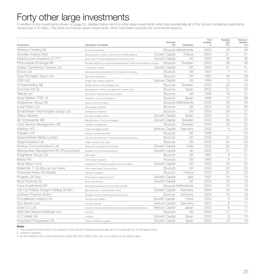## Forty other large investments

In addition to the investments shown on page 24, detailed below are forty other large investments which are substantially all of the Group's remaining investments valued over £16 million. This does not include seven investments, which have been excluded for commercial reasons.

| Investments                              | Description of business                                                    | <b>Business</b><br>line | Geography                  | First<br>invested<br>in | Residual<br>cost <sup>1</sup><br>£m | Directors'<br>valuation<br>£m |
|------------------------------------------|----------------------------------------------------------------------------|-------------------------|----------------------------|-------------------------|-------------------------------------|-------------------------------|
| Refresco Holding BV                      | Fruit juice producer                                                       |                         | <b>Buyouts Netherlands</b> | 2003                    | 29                                  | 49                            |
| Senoble Holding SAS                      | Manufacturers of dairy products and chilled desserts                       | Growth Capital          | France                     | 2004                    | 27                                  | 47                            |
| Infrastructure Investors LP (" 2")       | Secondary PFI and infrastructure investment fund                           | Growth Capital          | UK                         | 2005                    | 46                                  | 46                            |
| Pharmadule Emtunga AB                    | Modular facilities to pharmaceuticals/biotech offshore and telecom sectors | <b>Buyouts</b>          | Sweden                     | 2003                    | 38                                  | 46                            |
| Hayley Conference Centres Ltd            | Conference centres                                                         | Growth Capital          | UK                         | 2005                    | 41                                  | 41                            |
| Encon Ltd                                | Manufacturing and distribution of insulation materials                     | <b>Buyouts</b>          | UK                         | 1997                    | 1                                   | 41                            |
| Care Principles Topco Ltd                | Specialist healthcare                                                      | <b>Buyouts</b>          | UK                         | 1997                    | 39                                  | 39                            |
| CSR Ltd <sup>2</sup>                     | Single-chip wireless systems                                               | Venture Capital         | UK                         | 1999                    | $\overline{2}$                      | 34                            |
| H-Careholding AB                         | Elderly, primary and specialist care                                       | <b>Buyouts</b>          | Sweden                     | 2005                    | 33                                  | 33                            |
| Goromar XXI SL                           | Manufacturer of frites and glazes for ceramic tiles                        | <b>Buyouts</b>          | Spain                      | 2002                    | 27                                  | $\overline{32}$               |
| Telecity plc <sup>2</sup>                | Services for internet service providers                                    | <b>Buyouts</b>          | UK                         | 1998                    | 18                                  | 31                            |
| Grup Maritim TCB, SL                     | Operation of port concessions                                              | <b>Buyouts</b>          | Spain                      | 1999                    | 12                                  | 28                            |
| Aviapartner Group SA                     | Airport ground handling                                                    |                         | <b>Buyouts Netherlands</b> | 2005                    | 28                                  | $\overline{28}$               |
| Local Press Ltd                          | Newspaper publisher                                                        | <b>Buyouts</b>          | UK                         | 2004                    | 20                                  | $\overline{28}$               |
| Smartstream Technologies Group Ltd       | Software and services                                                      | <b>Buyouts</b>          | UK                         | 2000                    | 28                                  | 27                            |
| Clínica Baviera                          | Eye laser surgery clinics                                                  | Growth Capital          | Spain                      | 2005                    | 27                                  | 27                            |
| Alö Intressenter AB                      | Manufacturer of front end loaders                                          | Growth Capital          | Sweden                     | 2002                    | 26                                  | 27                            |
| Coor Service Management AB               | Facilities management                                                      | <b>Buyouts</b>          | Sweden                     | 2004                    | 26                                  | 25                            |
| Interhyp AG <sup>2</sup>                 | Online mortgage broker                                                     | Venture Capital         | Germany                    | 2000                    | 3                                   | $\overline{24}$               |
| Travelex Ltd <sup>3</sup>                | Foreign currency services                                                  | <b>Buyouts</b>          | UK                         | 1998                    | $\equiv$                            | $\overline{24}$               |
| Sparrowhawk Media Limited                | UK and International TV channel and business library                       | <b>Buyouts</b>          | UK                         | 2005                    | 21                                  | $\overline{23}$               |
| Target Express Ltd                       | Freight transport by road                                                  | <b>Buyouts</b>          | UK                         | 2000                    | 43                                  | $\overline{23}$               |
| Nimbus Communications Ltd                | Media and entertainment services                                           | Growth Capital          | India                      | 2005                    | $\overline{22}$                     | $\overline{22}$               |
| Metropolitan Management BV (Polyconcept) | Supplier of promotional products                                           | Growth Capital          | UK                         | 2005                    | 21                                  | 21                            |
| Freightliner Group Ltd                   | Rail freight                                                               | <b>Buyouts</b>          | UK                         | 1997                    | 9                                   | 21                            |
| Morse Plc <sup>2</sup>                   | Technology integrator                                                      | <b>Buyouts</b>          | UK                         | 1995                    | 8                                   | 21                            |
| Alma Mater Fund                          | Investment in university student accommodation                             | Growth Capital          | UK                         | 2003                    | 20                                  | 20                            |
| Malachite 1 Ltd (Buy as you view)        | Coin meter based hire purchase                                             | <b>Buyouts</b>          | UK                         | 2004                    | 20                                  | 20                            |
| Financière Keos SA (Keolis)              | Transport operator                                                         | <b>Buyouts</b>          | France                     | 2004                    | 20                                  | 20                            |
| Progetto 26 Spa                          | Production of glass products                                               | Growth Capital          | Italy                      | 1997                    | 16                                  | 19                            |
| Nova Rodman SL                           | Boat manufacturer                                                          | Growth Capital          | UK                         | 2004                    | 19                                  | 19                            |
| Hyva Investments BV                      | Branded hydraulics to commercial vehicles                                  |                         | <b>Buyouts Netherlands</b> | 2004                    | 15                                  | 19                            |
| CID Car Interior Design Holding GmbH     | Manufacturer of vehicle interior trims                                     | Growth Capital          | Germany                    | 2004                    | 18                                  | 18                            |
| Lichtwer Pharma GmbH                     | Supplier of phyto-pharmaceutical products                                  | <b>Buyouts</b>          | Germany                    | 2004                    | 18                                  | 18                            |
| FocusMedia Holding Ltd <sup>2</sup>      | Services and utilities                                                     | Growth Capital          | China                      | 2004                    | 3                                   | 18                            |
| Doc Morris.com                           | Internet chemist                                                           | Venture Capital         | Germany                    | 2001                    | 8                                   | 17                            |
| Sosei Co Ltd <sup>2</sup>                | Creation and development of performance enhanced medicine                  | Venture Capital         | Japan                      | 2003                    | 8                                   | 17                            |
| HSS Hire Service Holdings Ltd            | Tool hire                                                                  | <b>Buyouts</b>          | UK                         | 2004                    | 17                                  | 17                            |
| A C Hotels SA                            | Hoteliers                                                                  | Growth Capital          | Spain                      | 2000                    | 9                                   | 16                            |
| <b>Hospitais Portugueses SA</b>          | Private healthcare supplier                                                | Growth Capital          | Spain                      | 2004                    | 14                                  | 16                            |

#### *Notes*

1 The investment information is in respect of the Group's holding and excludes any co-investment by 3i managed funds.

2 Quoted company.

3 As the residual cost of this investment is less than £0.5 million, this cost is not shown in the above table.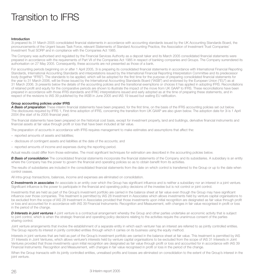## Transition to IFRS

#### **Introduction**

3i prepared its 31 March 2005 consolidated financial statements in accordance with accounting standards issued by the UK Accounting Standards Board, the pronouncements of the Urgent Issues Task Force, relevant Statements of Standard Accounting Practice, the Association of Investment Trust Companies' Investment Trust SORP and in compliance with the Companies Act 1985.

The Company was authorised and regulated by the Financial Services Authority as a deposit taker and its March 2005 consolidated financial statements were prepared in accordance with the requirements of Part VII of the Companies Act 1985 in respect of banking companies and Groups. The Company surrendered its authorisation on 27 May 2005. Consequently, these accounts are not presented as those of a bank.

For accounting periods beginning on or after 1 April 2005, 3i is preparing its consolidated financial statements in accordance with International Financial Reporting Standards, International Accounting Standards and interpretations issued by the International Financial Reporting Interpretation Committee and its predecessor body (together "IFRS"). The standards to be applied, which will be adopted for the first time for the purpose of preparing consolidated financial statements for the year to 31 March 2006, will be those issued by the International Accounting Standards Board ("IASB") and endorsed by the European Union ("EU") as at 31 March 2006. 3i presents below the details of the accounting policies and the transitional exemptions or choices it has applied in adopting IFRS. Reconciliations of retained profit and equity for the comparative periods are shown to illustrate the impact of the move from UK GAAP to IFRS. These reconciliations have been prepared in accordance with those IFRS standards and IFRIC interpretations issued and early adopted as at the time of preparing these statements, and in respect of the revisions to IAS 39 published by the IASB in June 2005 and IAS 19 issued but waiting EU ratification.

#### **Group accounting policies under IFRS**

*A Basis of preparation* These interim financial statements have been prepared, for the first time, on the basis of the IFRS accounting policies set out below. The disclosures required by IFRS 1, First-time adoption of IFRS, concerning the transition from UK GAAP are also given below. The adoption date for 3i is 1 April 2004 (the start of its 2005 financial year).

The financial statements have been prepared on the historical cost basis, except for investment property, land and buildings, derivative financial instruments and financial assets at fair value through profit or loss that have been included at fair value.

The preparation of accounts in accordance with IFRS requires management to make estimates and assumptions that affect the:

- reported amounts of assets and liabilities;
- disclosure of contingent assets and liabilities at the date of the accounts; and
- reported amounts of income and expenses during the reporting period.

Actual results could differ from those estimates. The most significant techniques for estimation are described in the accounting policies below.

**B Basis of consolidation** The consolidated financial statements incorporate the financial statements of the Company and its subsidiaries. A subsidiary is an entity where the Company has the power to govern the financial and operating policies so as to obtain benefit from its activities.

The results of subsidiaries are included in the consolidated financial statements from the date on which control is transferred to the Group or up to the date when control ceases.

All intra-group transactions, balances, income and expenses are eliminated on consolidation.

*C Investments in associates* An associate is an entity over which the Group has significant influence and is neither a subsidiary nor an interest in a joint venture. Significant influence is the power to participate in the financial and operating policy decisions of the investee but is not control or joint control.

Investments that are held as part of the Group's investment portfolio are carried in the balance sheet at fair value even though the Group may have significant influence over those companies. This treatment is permitted by IAS 28 Investment in Associates which allows investments held by venture capital organisations to be excluded from the scope of IAS 28 Investment in Associates provided that those investments upon initial recognition are designated as fair value through profit or loss and accounted for in accordance with IAS 39 Financial Instruments: Recognition and Measurement, with changes in fair value recognised in profit or loss in the period of the change.

**D** Interests in joint ventures A joint venture is a contractual arrangement whereby the Group and other parties undertake an economic activity that is subject to joint control, which is when the strategic financial and operating policy decisions relating to the activities require the unanimous consent of the parties sharing control.

Joint venture arrangements that involve the establishment of a separate entity in which each venturer has an interest are referred to as jointly controlled entities. The Group reports its interest in jointly controlled entities through which it carries on its business using the equity method.

Interests in joint ventures that are held as part of the Group's investment portfolio are carried in the balance sheet at fair value. This treatment is permitted by IAS 31 Interests in Joint Ventures, which allows venturer's interests held by venture capital organisations to be excluded from the scope of IAS 31 Interests in Joint Ventures provided that those investments upon initial recognition are designated as fair value through profit or loss and accounted for in accordance with IAS 39 Financial Instruments: Recognition and Measurement, with changes in fair value recognised in profit or loss in the period of the change.

When the Group transacts with its jointly controlled entities, unrealised profits and losses are eliminated on consolidation to the extent of the Group's interest in the joint venture.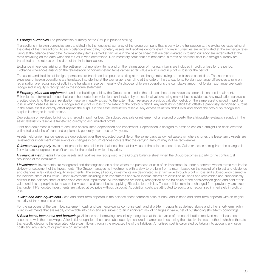#### *E Foreign currencies* The presentation currency of the Group is pounds sterling.

Transactions in foreign currencies are translated into the functional currency of the group company that is party to the transaction at the exchange rates ruling at the dates of the transactions. At each balance sheet date, monetary assets and liabilities denominated in foreign currencies are retranslated at the exchange rates ruling at the balance sheet date. Non-monetary items carried at fair value in the balance sheet that are denominated in foreign currency are retranslated at the rates prevailing on the date when the fair value was determined. Non-monetary items that are measured in terms of historical cost in a foreign currency are translated at the rate as on the date of the initial transaction.

Exchange differences arising on the settlement of monetary items and on the retranslation of monetary items are included in profit or loss for the period. Exchange differences arising on the retranslation of non-monetary items carried at fair value are included in profit or loss for the period.

The assets and liabilities of foreign operations are translated into pounds sterling at the exchange rates ruling at the balance sheet date. The income and expenses of foreign operations are translated into sterling at the exchange rates ruling at the date of the transactions. Foreign exchange differences arising on retranslation are recognised directly in the translation reserve in equity. On disposal of foreign operations the cumulative amount of foreign exchange previously recognised in equity is recognised in the income statement.

*F Property, plant and equipment* Land and buildings held by the Group are carried in the balance sheet at fair value less depreciation and impairment. Fair value is determined at each balance sheet date from valuations undertaken by professional valuers using market-based evidence. Any revaluation surplus is credited directly to the asset revaluation reserve in equity except to the extent that it reverses a previous valuation deficit on the same asset charged in profit or loss in which case the surplus is recognised in profit or loss to the extent of the previous deficit. Any revaluation deficit that offsets a previously recognised surplus in the same asset is directly offset against the surplus in the asset revaluation reserve. Any excess valuation deficit over and above the previously recognised surplus is charged in profit or loss.

Depreciation on revalued buildings is charged in profit or loss. On subsequent sale or retirement of a revalued property, the attributable revaluation surplus in the asset revaluation reserve is transferred directly to accumulated profits.

Plant and equipment is stated at cost less accumulated depreciation and impairment. Depreciation is charged to profit or loss on a straight-line basis over the estimated useful life of plant and equipment, generally over three to five years.

Assets held under finance leases are depreciated over their expected useful life on the same basis as owned assets or, where shorter, the lease term. Assets are reviewed for impairment when events or changes in circumstances indicate that the carrying amount may not be recoverable.

**G** Investment property Investment properties are held in the balance sheet at fair value at the balance sheet date. Gains or losses arising from the changes in fair value are recognised in profit or loss for the period in which they arise.

*H Financial instruments* Financial assets and liabilities are recognised in the Group's balance sheet when the Group becomes a party to the contractual provisions of the instrument.

**I Investments** Investments are recognised and derecognised on a date where the purchase or sale of an investment is under a contract whose terms require the delivery or settlement of the investments. The Group manages its investments with a view to profiting from a return based on the receipt of interest and dividends and changes in fair value of equity investments. Therefore, all equity investments are designated as at fair value through profit or loss and subsequently carried in the balance sheet at fair value. Other investments including loan investments and fixed income shares are classified as loans and receivables and subsequently carried in the balance sheet at amortised cost less impairment. All investments are initially recognised at the fair value of the consideration given and held at this value until it is appropriate to measure fair value on a different basis, applying 3i's valuation policies. These policies remain unchanged from previous years except that under IFRS, quoted investments are valued at bid price without discount. Acquisition costs are attributed to equity and recognised immediately in profit or loss.

*J Cash and cash equivalents* Cash and short-term deposits in the balance sheet comprise cash at bank and in hand and short-term deposits with an original maturity of three months or less.

For the purposes of the cash flow statement, cash and cash equivalents comprise cash and short-term deposits as defined above and other short-term highly liquid investments that are readily convertible into cash and are subject to an insignificant risk of changes in value, net of outstanding short-term borrowings.

K **Bank loans, loan notes and borrowings** All loans and borrowings are initially recognised at the fair value of the consideration received net of issue costs associated with the borrowings. After initial recognition, these are subsequently measured at amortised cost using the effective interest method, which is the rate that exactly discounts the estimated future cash flows through the expected life of the liabilities. Amortised cost is calculated by taking into account any issue costs and any discount or premium on settlement.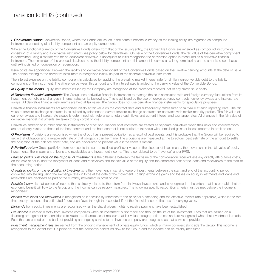### Transition to IFRS (continued)

*L Convertible Bonds* Convertible Bonds, where the Bonds are issued in the same functional currency as the issuing entity, are regarded as compound instruments consisting of a liability component and an equity component.

Where the functional currency of the Convertible Bonds differs from that of the issuing entity, the Convertible Bonds are regarded as compound instruments consisting of a liability and a derivative instrument (see policy below for derivatives). On issue of the Convertible Bonds, the fair value of the derivative component is determined using a market rate for an equivalent derivative. Subsequent to initial recognition the conversion option is measured as a derivative financial instrument. The remainder of the proceeds is allocated to the liability component and this amount is carried as a long-term liability on the amortised cost basis until extinguished on conversion or redemption.

Issue costs are apportioned between the liability and derivative component of the Convertible Bonds based on their relative carrying amounts at the date of issue. The portion relating to the derivative instrument is recognised initially as part of the financial derivative instrument.

The interest expense on the liability component is calculated by applying the prevailing market interest rate for similar non-convertible debt to the liability component of the instrument. The difference between this amount and the interest paid is added to the carrying value of the Convertible Bonds.

*M Equity instruments* Equity instruments issued by the Company are recognised at the proceeds received, net of any direct issue costs.

*N Derivative financial instruments* The Group uses derivative financial instruments to manage the risks associated with and foreign currency fluctuations from its investment portfolio and changes in interest rates on its borrowings. This is achieved by the use of foreign currency contracts, currency swaps and interest rate swaps. All derivative financial instruments are held at fair value. The Group does not use derivative financial instruments for speculative purposes.

Derivative financial instruments are recognised initially at fair value on the contract date and subsequently remeasured to fair value at each reporting date. The fair value of forward exchange contracts is calculated by reference to current forward exchange contracts for contracts with similar maturity profiles. The fair value of currency swaps and interest rate swaps is determined with reference to future cash flows and current interest and exchange rates. All changes in the fair value of derivative financial instruments are taken through profit or loss.

Derivatives embedded in other financial instruments or other non-financial host contracts are treated as separate derivatives when their risks and characteristics are not closely related to those of the host contract and the host contract is not carried at fair value with unrealised gains or losses reported in profit or loss.

*O Provisions* Provisions are recognised when the Group has a present obligation as a result of past events, and it is probable that the Group will be required to settle that obligation and a reliable estimate of that obligation can be made. The provisions are measured at the Directors' best estimate of the amount to settle the obligation at the balance sheet date, and are discounted to present value if the effect is material.

*P Portfolio return* Gross portfolio return represents the sum of realised profit over value on the disposal of investments, the movement in the fair value of equity investments, the impairment of loans and receivables and investment income. This is considered to be "revenue" under IFRS.

*Realised profits over value on the disposal of investments* is the difference between the fair value of the consideration received less any directly attributable costs, on the sale of equity and the repayment of loans and receivables and the fair value of the equity and the amortised cost of the loans and receivables at the start of the accounting period.

*Unrealised profits on the revaluation of investments* is the movement in carrying value of investments between the start and end of the accounting period converted into sterling using the exchange rates in force at the date of the movement. Foreign exchange gains and losses on equity investments and loans and receivables are disclosed as part of the currency movement in profit or loss.

Portfolio income is that portion of income that is directly related to the return from individual investments and is recognised to the extent that it is probable that the economic benefit will flow to the Group and the income can be reliably measured. The following specific recognition criteria must be met before the income is recognised:

*Income from loans and receivables* is recognised as it accrues by reference to the principal outstanding and the effective interest rate applicable, which is the rate that exactly discounts the estimated future cash flows through the expected life of the financial asset to that asset's carrying value.

*Dividends* from equity investments are recognised when the shareholders' rights to receive payment have been established.

Fee income is earned directly from investee companies when an investment is first made and through the life of the investment. Fees that are earned on a financing arrangement are considered to relate to a financial asset measured at fair value through profit or loss and are recognised when that investment is made. Fees that are earned on the basis of providing an ongoing service to the investee company are recognised as that service is provided.

*Investment management fees* are earned from the ongoing management of private equity funds, which primarily co-invest alongside the Group. This income is recognised to the extent that it is probable that the economic benefit will flow to the Group and the income can be reliably measured.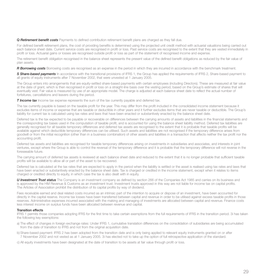#### *Q Retirement benefit costs* Payments to defined contribution retirement benefit plans are charged as they fall due.

For defined benefit retirement plans, the cost of providing benefits is determined using the projected unit credit method with actuarial valuations being carried out each balance sheet date. Current service costs are recognised in profit or loss. Past service costs are recognised to the extent that they are vested immediately in profit or loss. Actuarial gains or losses are recognised outside profit or loss as part of the statement of recognised income and expense.

The retirement benefit obligation recognised in the balance sheet represents the present value of the defined benefit obligations as reduced by the fair value of plan assets.

**R Borrowing costs** Borrowing costs are recognised as an expense in the period in which they are incurred in accordance with the benchmark treatment.

**S Share-based payments** In accordance with the transitional provisions of IFRS 1, the Group has applied the requirements of IFRS 2, Share-based payment to all grants of equity instruments after 7 November 2002, that were unvested at 1 January 2005.

The Group enters into arrangements that are equity-settled share-based payments with certain employees (including Directors). These are measured at fair value at the date of grant, which is then recognised in profit or loss on a straight-line basis over the vesting period, based on the Group's estimate of shares that will eventually vest. Fair value is measured by use of an appropriate model. The charge is adjusted at each balance sheet date to reflect the actual number of forfeitures, cancellations and leavers during the period.

*T Income tax* Income tax expense represents the sum of the tax currently payable and deferred tax.

The tax currently payable is based on the taxable profit for the year. This may differ from the profit included in the consolidated income statement because it excludes items of income or expense that are taxable or deductible in other years and it further excludes items that are never taxable or deductible. The Group's liability for current tax is calculated using tax rates and laws that have been enacted or substantively enacted by the balance sheet date.

Deferred tax is the tax expected to be payable or recoverable on differences between the carrying amounts of assets and liabilities in the financial statements and the corresponding tax bases used in the computation of taxable profit, and is accounted for using the balance sheet liability method. Deferred tax liabilities are generally recognised for all taxable temporary differences and deferred tax assets are recognised to the extent that it is probable that taxable profits will be available against which deductible temporary differences can be utilised. Such assets and liabilities are not recognised if the temporary difference arises from goodwill or from the initial recognition (other than in a business combination) of other assets and liabilities in a transaction that affects neither the tax profit nor the accounting profit.

Deferred tax assets and liabilities are recognised for taxable temporary differences arising on investments in subsidiaries and associates, and interests in joint ventures, except where the Group is able to control the reversal of the temporary difference and it is probable that the temporary difference will not reverse in the foreseeable future.

The carrying amount of deferred tax assets is reviewed at each balance sheet date and reduced to the extent that it is no longer probable that sufficient taxable profits will be available to allow all or part of the asset to be recovered.

Deferred tax is calculated at the tax rates that are expected to apply in the period when the liability is settled or the asset is realised using tax rates and laws that have been enacted or substantively enacted by the balance sheet date. Tax is charged or credited in the income statement, except when it relates to items charged or credited directly to equity, in which case the tax is also dealt with in equity.

*U Investment Trust status* The Company is an investment company as defined by section 266 of the Companies Act 1985 and carries on its business and is approved by the HM Revenue & Customs as an investment trust. Investment trusts approved in this way are not liable for income tax on capital profits. The Articles of Association prohibit the distribution of its capital profits by way of dividend.

Fees receivable earned and deal related costs incurred as an intrinsic part of the intention to acquire or dispose of an investment, have been accounted for directly in the capital reserve. Income tax losses have been transferred between capital and revenue in order to be utilised against excess taxable profits in those reserves. Administrative expenses incurred associated with the making and managing of investments are allocated between capital and revenue. Finance costs less interest income on surplus funds have been allocated between revenue and capital.

#### **Transition effects**

IFRS 1 permits those companies adopting IFRS for the first time to take certain exemptions from the full requirements of IFRS in the transition period. 3i has taken the following key exemptions:

a) The effect of changes in foreign exchange rates: Under IFRS 1, cumulative translation differences on the consolidation of subsidiaries are being accumulated from the date of transition to IFRS and not from the original acquisition date.

b) Share-based payment: IFRS 2 has been adopted from the transition date and is only being applied to relevant equity instruments granted on or after 7 November 2002 and not vested as at 1 January 2005. 3i has elected not to take up the option of full retrospective application of the standard.

c) All equity investments have been designated at the date of transition to be assets at fair value through profit or loss.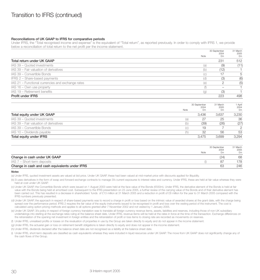#### **Reconciliations of UK GAAP to IFRS for comparative periods**

Under IFRS, the "Total recognised income and expense" is the equivalent of "Total return", as reported previously. In order to comply with IFRS 1, we provide below a reconciliation of total return to the net profit per the income statement.

|                                                   | Note | 30 September<br>2004<br>£m | 31 March<br>2005<br>£m |
|---------------------------------------------------|------|----------------------------|------------------------|
| Total return under UK GAAP                        |      | 231                        | 512                    |
| IAS 39 - Quoted investments                       | (a)  | (9)                        | (11)                   |
| IAS 39 – Fair valuation of derivatives            | (b)  | (12)                       |                        |
| IAS 39 - Convertible Bonds                        | (C)  | 17                         | -5                     |
| IFRS 2 - Share-based payments                     | (d)  | (3)                        | (6)                    |
| IAS 21 - Functional currencies and exchange rates | (e)  |                            | (5)                    |
| IAS $16 - Own$ use property                       |      |                            |                        |
| IAS 19 - Retirement benefits                      | (g)  | (3)                        |                        |
| <b>Profit under IFRS</b>                          |      | 223                        | 498                    |

|                                        | Note | 30 September<br>2004<br>£m | 31 March<br>2005<br>£m | 1 April<br>2004<br>£m |
|----------------------------------------|------|----------------------------|------------------------|-----------------------|
| Total equity under UK GAAP             |      | 3.436                      | 3,637                  | 3.230                 |
| IAS 39 - Quoted investments            | (a)  | 27                         | 25                     | 36                    |
| IAS 39 – Fair valuation of derivatives | (b)  | (39)                       | (26)                   | (27)                  |
| IAS 39 - Convertible Bonds             | (C)  | 19                         |                        | 2                     |
| IAS 10 - Dividends payable             | (h)  | -32                        | 56                     | 53                    |
| Total equity under IFRS                |      | 3.475                      | 3.699                  | 3.294                 |

|                                                | Note | 30 September<br>2004<br>£m | 31 March<br>2005<br>£m |
|------------------------------------------------|------|----------------------------|------------------------|
| Change in cash under UK GAAP                   |      | (24)                       | 68                     |
| IAS 7 - Short-term deposits                    |      | 87                         | 178                    |
| Change in cash and cash equivalents under IFRS |      | 63                         | 246                    |

#### *Notes*

- (b) 3i uses derivatives in the form of swap and forward exchange contracts to manage 3i's current exposures to interest rates and currency. Under IFRS, these are held at fair value whereas they were held at cost under UK GAAP.
- (c) Under UK GAAP, the Convertible Bonds which were issued on 1 August 2003 were held at the face value of the Bonds (**B**550m). Under IFRS, the derivative element of the Bonds is held at fair value with the Bonds being held at amortised cost. Subsequent to the IFRS presentation on 23 June 2005, a further review of the carrying value of the Bonds and of their derivative element has been carried out. This has resulted in a decrease in shareholders' funds of £13 million at 31 March 2005 and a reduction in profit of £8 million for the year to 31 March 2005 compared with the IFRS numbers previously presented.
- (d) Under UK GAAP, the approach in respect of share-based payments was to record a charge in profit or loss based on the intrinsic value of awarded shares at the grant date, with the charge being spread over the performance period. IFRS 2 requires the fair value of the equity instruments issued to be recognised in profit and loss over the vesting period of the instrument. The cost is calculated using option pricing methods and applies to all options granted after 7 November 2002 and not vested by 1 January 2005.
- (e) Under UK GAAP, 3i's policy in respect of foreign currency translation was to translate all foreign currency revenue items, assets, liabilities and reserves, including those of non-UK subsidiary undertakings into sterling at the exchange rates ruling at the balance sheet date. Under IFRS, revenue items will be held at the rates in force at the time of the transaction. Exchange differences on the retranslation of the opening net investment in foreign entities and the retranslation of profit or loss items to closing rate are recorded as movements on reserves.

(f) Under IFRS, unrealised profits or losses on the revaluation of properties in use by the Group are taken directly to equity and do not appear in the income statement.

- (g) Under IFRS, the actuarial gain or loss on retirement benefit obligations is taken directly to equity and does not appear in the income statement.
- (h) Under IFRS, dividends declared after the balance sheet date are not recognised as a liability at the balance sheet date.
- (i) Under IFRS, short-term deposits are classified as cash equivalents whereas they were included in liquid resources under UK GAAP. The move from UK GAAP does not significantly change any of the cash flows of the Group.

<sup>(</sup>a) Under IFRS, quoted investment assets are valued at bid price. Under UK GAAP, these had been valued at mid-market price with discounts applied for illiquidity.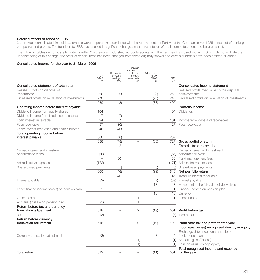#### **Detailed effects of adopting IFRS**

3i's previous consolidated financial statements were prepared in accordance with the requirements of Part VII of the Companies Act 1985 in respect of banking companies and groups. The transition to IFRS has resulted in significant changes in the presentation of the income statement and balance sheet.

The following tables demonstrate how items within 3i's previously published accounts equate with the new headings used within IFRS. In order to facilitate the understanding of this change, the order of certain items has been changed from those originally shown and certain subtotals have been omitted or added.

#### **Consolidated income for the year to 31 March 2005**

|                                                  | UK<br>GAAP<br>£m | Reanalvsis<br>between<br>headings<br>£m | <b>Transfers</b><br>from income<br>statement<br>to equity<br>movements<br>£m | Adiustments<br>to UK<br>GAAP<br>£m | <b>IFRS</b><br>£m |                                                     |
|--------------------------------------------------|------------------|-----------------------------------------|------------------------------------------------------------------------------|------------------------------------|-------------------|-----------------------------------------------------|
| Consolidated statement of total return           |                  |                                         |                                                                              |                                    |                   | Consolidated income statement                       |
| Realised profits on disposal of                  |                  |                                         |                                                                              |                                    |                   | Realised profits over value on the disposal         |
| investments                                      | 260              | (2)                                     |                                                                              | (8)                                | 250               | of investments                                      |
| Unrealised profits on revaluation of investments | 270              |                                         |                                                                              | (25)                               | 245               | Unrealised profits on revaluation of investments    |
|                                                  | 530              | (2)                                     | $\qquad \qquad -$                                                            | (33)                               | 495               |                                                     |
| Operating income before interest payable         |                  |                                         |                                                                              |                                    |                   | Portfolio income                                    |
| Dividend income from equity shares               | 104              |                                         |                                                                              |                                    | 104               | <b>Dividends</b>                                    |
| Dividend income from fixed income shares         | $\overline{7}$   | (7)                                     |                                                                              |                                    |                   |                                                     |
| Loan interest receivable                         | 94               | 7                                       |                                                                              |                                    | 101               | Income from loans and receivables                   |
| Fees receivable                                  | 57               | (30)                                    |                                                                              |                                    | 27                | Fees receivable                                     |
| Other interest receivable and similar income     | 46               | (46)                                    |                                                                              |                                    |                   |                                                     |
| Total operating income before                    |                  |                                         |                                                                              |                                    |                   |                                                     |
| interest payable                                 | 308              | (76)                                    |                                                                              |                                    | 232               |                                                     |
|                                                  | 838              | (78)                                    |                                                                              | (33)                               | 727               | Gross portfolio return                              |
|                                                  |                  | $\overline{2}$                          |                                                                              |                                    | $\overline{2}$    | Carried interest receivable                         |
| Carried interest and investment                  |                  |                                         |                                                                              |                                    |                   | Carried interest and investment                     |
| performance plans                                | (66)             |                                         |                                                                              |                                    | (66)              | performance plans                                   |
|                                                  | $\equiv$         | 30                                      |                                                                              |                                    | 30                | Fund management fees                                |
| Administrative expenses                          | (172)            | 1                                       |                                                                              | $\qquad \qquad -$                  |                   | (171) Administrative expenses                       |
| Share-based payments                             |                  | (1)                                     |                                                                              | (5)                                | (6)               | Share-based payments                                |
|                                                  | 600              | (46)                                    |                                                                              | (38)                               | 516               | Net portfolio return                                |
|                                                  |                  | 46                                      |                                                                              |                                    | 46                | Treasury interest receivable                        |
| Interest payable                                 | (82)             |                                         |                                                                              | (7)                                | (89)              | Interest payable                                    |
|                                                  |                  |                                         |                                                                              | 13                                 | 13                | Movement in the fair value of derivatives           |
| Other finance income/(costs) on pension plan     | $\mathbf{1}$     |                                         |                                                                              |                                    | 1.                | Finance income on pension plan                      |
|                                                  |                  |                                         |                                                                              | 13                                 | 13                | Currency                                            |
| Other income                                     |                  |                                         | 1                                                                            |                                    | $\mathbf{1}$      | Other income                                        |
| Actuarial (losses) on pension plan               | (1)              |                                         | $\mathbf{1}$                                                                 |                                    |                   |                                                     |
| Return before tax and currency                   |                  |                                         |                                                                              |                                    |                   |                                                     |
| translation adjustment                           | 518              |                                         | $\overline{2}$                                                               | (19)                               | 501               | Profit before tax                                   |
| Tax                                              | (3)              |                                         |                                                                              |                                    | (3)               | Income tax                                          |
| Return before currency                           |                  |                                         |                                                                              |                                    |                   |                                                     |
| translation adjustment                           | 515              |                                         | 2                                                                            | (19)                               | 498               | Profit after tax and profit for the year            |
|                                                  |                  |                                         |                                                                              |                                    |                   | Income/(expense) recognised directly in equity      |
|                                                  |                  |                                         |                                                                              |                                    |                   | Exchange differences on translation of              |
| Currency translation adjustment                  | (3)              |                                         |                                                                              | 8                                  | 5                 | foreign operations                                  |
|                                                  |                  |                                         | (1)                                                                          |                                    | (1)               | Actuarial gains/(losses)                            |
|                                                  |                  |                                         | (1)                                                                          |                                    | (1)               | Loss on valuation of property                       |
| <b>Total return</b>                              | 512              |                                         |                                                                              | (11)                               | 501               | Total recognised income and expense<br>for the year |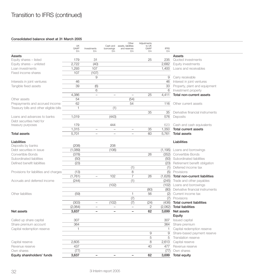### Transition to IFRS (continued)

#### **Consolidated balance sheet at 31 March 2005**

| ualcu balancc əncci al on ma            |                   |                          |                          |                                              |                              |             |                                  |
|-----------------------------------------|-------------------|--------------------------|--------------------------|----------------------------------------------|------------------------------|-------------|----------------------------------|
|                                         | UK<br><b>GAAP</b> | Investments              | Cash and<br>borrowings   | Other<br>assets, liabilities<br>and reserves | Adjustments<br>to UK<br>GAAP | <b>IFRS</b> |                                  |
|                                         | £m                | £m                       | £m                       | £m                                           | £m                           | £m          |                                  |
| Assets                                  |                   |                          |                          |                                              |                              |             | Assets                           |
| Equity shares - listed                  | 179               | 31                       |                          |                                              | 25                           | 235         | Quoted investments               |
| Equity shares - unlisted                | 2,722             | (40)                     |                          |                                              |                              | 2,682       | Equity investments               |
| Loan investments                        | 1,293             | 107                      |                          |                                              |                              | 1,400       | Loans and receivables            |
| Fixed income shares                     | 107               | (107)                    |                          |                                              |                              |             |                                  |
|                                         |                   | 9                        |                          |                                              |                              | 9           | Carry receivable                 |
| Interests in joint ventures             | 46                |                          |                          |                                              |                              | 46          | Interest in joint ventures       |
| Tangible fixed assets                   | 39                | (6)                      |                          |                                              |                              | 33          | Property, plant and equipment    |
|                                         |                   | 6                        |                          |                                              |                              | 6           | Investment property              |
|                                         | 4,386             | $\overline{\phantom{0}}$ | $\overline{\phantom{0}}$ | $\overline{\phantom{m}}$                     | 25                           | 4,411       | Total non-current assets         |
| Other assets                            | 54                |                          |                          | (54)                                         |                              |             |                                  |
| Prepayments and accrued income          | 62                |                          |                          | 54                                           |                              | 116         | Other current assets             |
| Treasury bills and other eligible bills | $\mathbf 1$       |                          | (1)                      |                                              |                              |             |                                  |
|                                         |                   |                          |                          |                                              | 35                           | 35          | Derivative financial instruments |
| Loans and advances to banks             | 1,019             |                          | (443)                    |                                              |                              | 576         | Deposits                         |
| Debt securities held for                |                   |                          |                          |                                              |                              |             |                                  |
| treasury purposes                       | 179               |                          | 444                      |                                              |                              | 623         | Cash and cash equivalents        |
|                                         | 1,315             | $\qquad \qquad -$        | $\overline{\phantom{0}}$ | $\overline{\phantom{m}}$                     | 35                           | 1,350       | <b>Total current assets</b>      |
| <b>Total assets</b>                     | 5,701             | $\overline{\phantom{0}}$ | $\overline{\phantom{0}}$ | $\overline{\phantom{m}}$                     | 60                           | 5,761       | <b>Total assets</b>              |
| Liabilities                             |                   |                          |                          |                                              |                              |             | Liabilities                      |
| Deposits by banks                       | (208)             |                          | 208                      |                                              |                              |             |                                  |
| Debt securities in issue                | (1,089)           |                          | (106)                    |                                              |                              | (1, 195)    | Loans and borrowings             |
| Convertible Bonds                       | (378)             |                          |                          |                                              | 26                           | (352)       | Convertible Bonds                |
| Subordinated liabilities                | (50)              |                          |                          |                                              |                              | (50)        | Subordinated liabilities         |
| Defined benefit liabilities             | (23)              |                          |                          |                                              |                              | (23)        | Retirement benefit obligation    |
|                                         |                   |                          |                          | (1)                                          |                              | (1)         | Deferred income tax              |
| Provisions for liabilities and charges  | (13)              |                          |                          | 8                                            |                              | (5)         | Provisions                       |
|                                         | (1,761)           |                          | 102                      | $\overline{7}$                               | 26                           | (1,626)     | Total non-current liabilities    |
| Accruals and deferred income            | (244)             |                          |                          | (1)                                          |                              | (245)       | Trade and other payables         |
|                                         |                   |                          | (102)                    |                                              |                              | (102)       | Loans and borrowings             |
|                                         |                   |                          |                          |                                              | (80)                         | (80)        | Derivative financial instruments |
| Other liabilities                       | (59)              |                          |                          | 1                                            | 56                           | (2)         | Current income tax               |
|                                         |                   |                          |                          | (7)                                          |                              | (7)         | Provisions                       |
|                                         | (303)             | $\overline{\phantom{m}}$ | (102)                    | (7)                                          | (24)                         | (436)       | <b>Total current liabilities</b> |
|                                         | (2,064)           | $\overline{\phantom{0}}$ | $\qquad \qquad -$        | $\overline{\phantom{m}}$                     | 2                            | (2,062)     | <b>Total liabilities</b>         |
| Net assets                              | 3,637             | -                        | -                        | $\overline{\phantom{m}}$                     | 62                           | 3,699       | Net assets                       |
|                                         |                   |                          |                          |                                              |                              |             | Equity                           |
| Called up share capital                 | 307               |                          |                          |                                              |                              | 307         | Issued capital                   |
| Share premium account                   | 364               |                          |                          |                                              |                              | 364         | Share premium                    |
| Capital redemption reserve              | $\mathbf 1$       |                          |                          |                                              |                              | -1          | Capital redemption reserve       |
|                                         |                   |                          |                          |                                              | 9                            | 9           | Share-based payment reserve      |
|                                         |                   |                          |                          |                                              | 5                            | 5           | Translation reserve              |
| Capital reserve                         | 2,605             |                          |                          |                                              | 8                            | 2,613       | Capital reserve                  |
| Revenue reserve                         | 437               |                          |                          |                                              | 40                           | 477         | Revenue reserve                  |
| Own shares                              | (77)              |                          |                          |                                              |                              | (77)        | Own shares                       |
| Equity shareholders' funds              | 3,637             | -                        |                          |                                              | 62                           | 3,699       | <b>Total equity</b>              |
|                                         |                   |                          |                          |                                              |                              |             |                                  |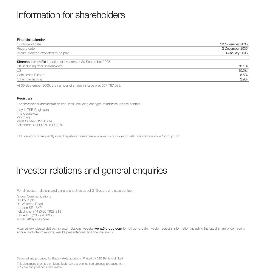### Information for shareholders

| <b>Financial calendar</b>                                             |                  |
|-----------------------------------------------------------------------|------------------|
| Ex-dividend date                                                      | 30 November 2005 |
| Record date                                                           | 2 December 2005  |
| Interim dividend expected to be paid                                  | 4 January 2006   |
| <b>Shareholder profile</b> Location of investors at 30 September 2005 |                  |
| UK (including retail shareholders)                                    | 78.1%            |
| US                                                                    | 10.5%            |
| <b>Continental Europe</b>                                             | 8.5%             |
| Other international                                                   | 2.9%             |

At 30 September 2005, the number of shares in issue was 557,787,039.

#### **Registrars**

For shareholder administration enquiries, including changes of address, please contact:

Lloyds TSB Registrars The Causeway **Worthing** West Sussex BN99 6DA Telephone +44 (0)870 600 3970

PDF versions of frequently used Registrars' forms are available on our investor relations website www.3igroup.com

### Investor relations and general enquiries

For all investor relations and general enquiries about 3i Group plc, please contact:

Group Communications 3i Group plc 91 Waterloo Road London SE1 8XP Telephone +44 (0)20 7928 3131 Fax +44 (0)20 7928 0058 e-mail ir@3igroup.com

Alternatively, please visit our investor relations website **www.3igroup.com** for full up-to-date investor relations information including the latest share price, recent annual and interim reports, results presentations and financial news.

Designed and produced by Radley Yeldar (London). Printed by CTD Printers Limited.

This document is printed on Mega Matt, using a chlorine free process, produced from 50% pre and post consumer waste.